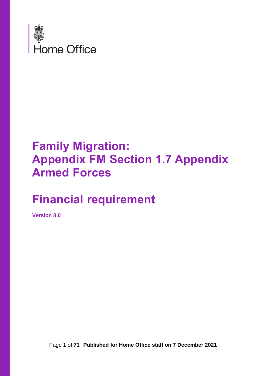

# **Family Migration: Appendix FM Section 1.7 Appendix Armed Forces**

# **Financial requirement**

**Version 8.0**

Page **1** of **71 Published for Home Office staff on 7 December 2021**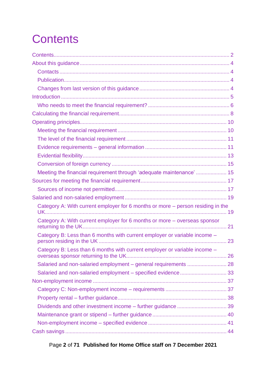# <span id="page-1-0"></span>**Contents**

| Meeting the financial requirement through 'adequate maintenance'  15            |  |
|---------------------------------------------------------------------------------|--|
|                                                                                 |  |
|                                                                                 |  |
|                                                                                 |  |
| Category A: With current employer for 6 months or more – person residing in the |  |
| Category A: With current employer for 6 months or more - overseas sponsor       |  |
| Category B: Less than 6 months with current employer or variable income -       |  |
| Category B: Less than 6 months with current employer or variable income -       |  |
|                                                                                 |  |
| Salaried and non-salaried employment - specified evidence 33                    |  |
|                                                                                 |  |
|                                                                                 |  |
|                                                                                 |  |
|                                                                                 |  |
|                                                                                 |  |
|                                                                                 |  |
|                                                                                 |  |

Page **2** of **71 Published for Home Office staff on 7 December 2021**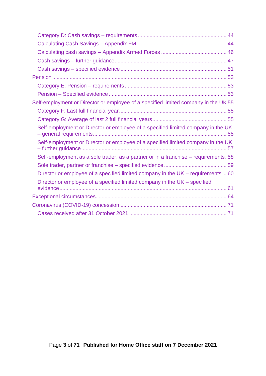| Self-employment or Director or employee of a specified limited company in the UK 55 |
|-------------------------------------------------------------------------------------|
|                                                                                     |
|                                                                                     |
| Self-employment or Director or employee of a specified limited company in the UK    |
| Self-employment or Director or employee of a specified limited company in the UK    |
| Self-employment as a sole trader, as a partner or in a franchise - requirements. 58 |
|                                                                                     |
| Director or employee of a specified limited company in the UK - requirements 60     |
| Director or employee of a specified limited company in the UK – specified           |
|                                                                                     |
|                                                                                     |
|                                                                                     |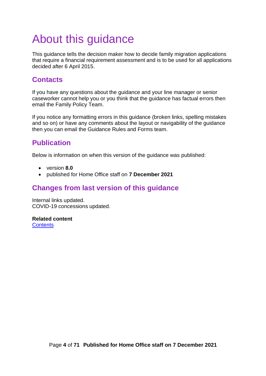# <span id="page-3-0"></span>About this guidance

This guidance tells the decision maker how to decide family migration applications that require a financial requirement assessment and is to be used for all applications decided after 6 April 2015.

## <span id="page-3-1"></span>**Contacts**

If you have any questions about the guidance and your line manager or senior caseworker cannot help you or you think that the guidance has factual errors then email the Family Policy Team.

If you notice any formatting errors in this guidance (broken links, spelling mistakes and so on) or have any comments about the layout or navigability of the guidance then you can email the Guidance Rules and Forms team.

# <span id="page-3-2"></span>**Publication**

Below is information on when this version of the guidance was published:

- version **8.0**
- published for Home Office staff on **7 December 2021**

## <span id="page-3-3"></span>**Changes from last version of this guidance**

Internal links updated. COVID-19 concessions updated.

**Related content [Contents](#page-1-0)**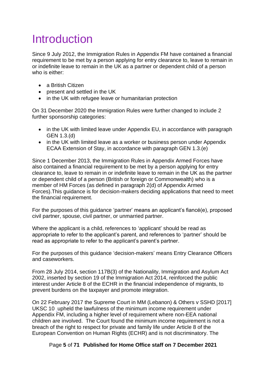# <span id="page-4-0"></span>Introduction

Since 9 July 2012, the Immigration Rules in Appendix FM have contained a financial requirement to be met by a person applying for entry clearance to, leave to remain in or indefinite leave to remain in the UK as a partner or dependent child of a person who is either:

- a British Citizen
- present and settled in the UK
- in the UK with refugee leave or humanitarian protection

On 31 December 2020 the Immigration Rules were further changed to include 2 further sponsorship categories:

- in the UK with limited leave under Appendix EU, in accordance with paragraph GEN 1.3.(d)
- in the UK with limited leave as a worker or business person under Appendix ECAA Extension of Stay, in accordance with paragraph GEN 1.3.(e)

Since 1 December 2013, the Immigration Rules in Appendix Armed Forces have also contained a financial requirement to be met by a person applying for entry clearance to, leave to remain in or indefinite leave to remain in the UK as the partner or dependent child of a person (British or foreign or Commonwealth) who is a member of HM Forces (as defined in paragraph 2(d) of Appendix Armed Forces).This guidance is for decision-makers deciding applications that need to meet the financial requirement.

For the purposes of this guidance 'partner' means an applicant's fiancé(e), proposed civil partner, spouse, civil partner, or unmarried partner.

Where the applicant is a child, references to 'applicant' should be read as appropriate to refer to the applicant's parent, and references to 'partner' should be read as appropriate to refer to the applicant's parent's partner.

For the purposes of this guidance 'decision-makers' means Entry Clearance Officers and caseworkers.

From 28 July 2014, section 117B(3) of the Nationality, Immigration and Asylum Act 2002, inserted by section 19 of the Immigration Act 2014, reinforced the public interest under Article 8 of the ECHR in the financial independence of migrants, to prevent burdens on the taxpayer and promote integration.

On 22 February 2017 the Supreme Court in MM (Lebanon) & Others v SSHD [2017] UKSC 10 [u](http://www.bailii.org/uk/cases/UKSC/2017/10.html)pheld the lawfulness of the minimum income requirement under Appendix FM, including a higher level of requirement where non-EEA national children are involved. The Court found the minimum income requirement is not a breach of the right to respect for private and family life under Article 8 of the European Convention on Human Rights (ECHR) and is not discriminatory. The

Page **5** of **71 Published for Home Office staff on 7 December 2021**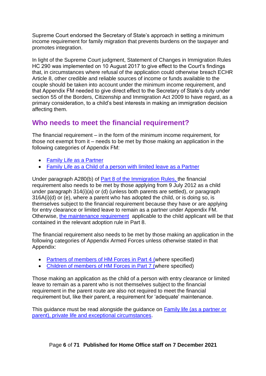Supreme Court endorsed the Secretary of State's approach in setting a minimum income requirement for family migration that prevents burdens on the taxpayer and promotes integration.

In light of the Supreme Court judgment, Statement of Changes in Immigration Rules HC 290 was implemented on 10 August 2017 to give effect to the Court's findings that, in circumstances where refusal of the application could otherwise breach ECHR Article 8, other credible and reliable sources of income or funds available to the couple should be taken into account under the minimum income requirement, and that Appendix FM needed to give direct effect to the Secretary of State's duty under section 55 of the Borders, Citizenship and Immigration Act 2009 to have regard, as a primary consideration, to a child's best interests in making an immigration decision affecting them.

# <span id="page-5-0"></span>**Who needs to meet the financial requirement?**

The financial requirement – in the form of the minimum income requirement, for those not exempt from it – needs to be met by those making an application in the following categories of Appendix FM:

- [Family Life as a Partner](https://www.gov.uk/guidance/immigration-rules/immigration-rules-appendix-fm-family-members)
- [Family Life as a Child of a person with limited](https://www.gov.uk/guidance/immigration-rules/immigration-rules-appendix-fm-family-members) leave as a Partn[er](https://www.gov.uk/guidance/immigration-rules/immigration-rules-appendix-fm-family-members)

Under paragraph A280(b) of [Part 8 of the Immigration Rules,](https://www.gov.uk/government/collections/immigration-rules) the financial requirement also needs to be met by those applying from 9 July 2012 as a child under paragraph 314(i)(a) or (d) (unless both parents are settled), or paragraph 316A(i)(d) or (e), where a parent who has adopted the child, or is doing so, is themselves subject to the financial requirement because they have or are applying for entry clearance or limited leave to remain as a partner under Appendix FM. Otherwise, [the maintenance requirement](file:///C:/Users/PAUSTIN/AppData/Local/Microsoft/Windows/INetCache/Content.Outlook/O095UEDQ/the%20maintenance%20requirement) applicable to the child applicant will be that contained in the relevant adoption rule in Part 8.

The financial requirement also needs to be met by those making an application in the following categories of Appendix Armed Forces unless otherwise stated in that Appendix:

- [Partners of members of HM Forces in Part 4](https://www.gov.uk/government/publications/immigration-rules-appendix-armed-forces) [\(w](https://www.gov.uk/government/publications/immigration-rules-appendix-armed-forces)here specified)
- [Children of members of HM Forces in Part 7](https://www.gov.uk/government/publications/immigration-rules-appendix-armed-forces) [\(w](https://www.gov.uk/government/publications/immigration-rules-appendix-armed-forces)here specified)

Those making an application as the child of a person with entry clearance or limited leave to remain as a parent who is not themselves subject to the financial requirement in the parent route are also not required to meet the financial requirement but, like their parent, a requirement for 'adequate' maintenance.

This guidance must be read alongside the guidance on [Family life \(as a partner or](https://www.gov.uk/government/publications/family-life-as-a-partner-or-parent-private-life-and-exceptional-circumstance)  [parent\), private life and exceptional circumstances.](https://www.gov.uk/government/publications/family-life-as-a-partner-or-parent-private-life-and-exceptional-circumstance)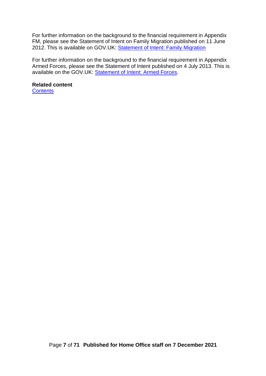For further information on the background to the financial requirement in Appendix FM, please see the Statement of Intent on Family Migration published on 11 June 2012. This is available on GOV.UK: [Statement of Intent: Family Migration](https://www.gov.uk/government/publications/family-migration-statement-of-intent)

For further information on the background to the financial requirement in Appendix Armed Forces, please see the Statement of Intent published on 4 July 2013. This is available on the GOV.UK: [Statement of Intent: Armed Forces.](https://www.gov.uk/government/publications/armed-forces-family-migration-statement-of-intent)

### **Related content**

**[Contents](#page-1-0)**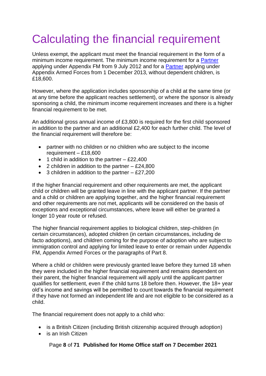# <span id="page-7-0"></span>Calculating the financial requirement

Unless exempt, the applicant must meet the financial requirement in the form of a minimum income requirement. The minimum income requirement for a **Partner** applying under Appendix FM from 9 July 2012 and for a [Partner](https://www.gov.uk/government/publications/immigration-rules-appendix-armed-forces) applying under Appendix Armed Forces from 1 December 2013, without dependent children, is £18,600.

However, where the application includes sponsorship of a child at the same time (or at any time before the applicant reaches settlement), or where the sponsor is already sponsoring a child, the minimum income requirement increases and there is a higher financial requirement to be met.

An additional gross annual income of £3,800 is required for the first child sponsored in addition to the partner and an additional £2,400 for each further child. The level of the financial requirement will therefore be:

- partner with no children or no children who are subject to the income requirement – £18,600
- 1 child in addition to the partner  $-$  £22,400
- 2 children in addition to the partner  $-$  £24,800
- 3 children in addition to the partner  $-$  £27,200

If the higher financial requirement and other requirements are met, the applicant child or children will be granted leave in line with the applicant partner. If the partner and a child or children are applying together, and the higher financial requirement and other requirements are not met, applicants will be considered on the basis of exceptions and exceptional circumstances, where leave will either be granted a longer 10 year route or refused.

The higher financial requirement applies to biological children, step-children (in certain circumstances), adopted children (in certain circumstances, including de facto adoptions), and children coming for the purpose of adoption who are subject to immigration control and applying for limited leave to enter or remain under Appendix FM, Appendix Armed Forces or the paragraphs of Part 8.

Where a child or children were previously granted leave before they turned 18 when they were included in the higher financial requirement and remains dependent on their parent, the higher financial requirement will apply until the applicant partner qualifies for settlement, even if the child turns 18 before then. However, the 18+ year old's income and savings will be permitted to count towards the financial requirement if they have not formed an independent life and are not eligible to be considered as a child.

The financial requirement does not apply to a child who:

- is a British Citizen (including British citizenship acquired through adoption)
- is an Irish Citizen

#### Page **8** of **71 Published for Home Office staff on 7 December 2021**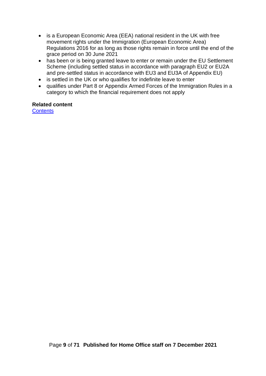- is a European Economic Area (EEA) national resident in the UK with free movement rights under the Immigration (European Economic Area) Regulations 2016 for as long as those rights remain in force until the end of the grace period on 30 June 2021
- has been or is being granted leave to enter or remain under the EU Settlement Scheme (including settled status in accordance with paragraph EU2 or EU2A and pre-settled status in accordance with EU3 and EU3A of Appendix EU)
- is settled in the UK or who qualifies for indefinite leave to enter
- qualifies under Part 8 or Appendix Armed Forces of the Immigration Rules in a category to which the financial requirement does not apply

#### **Related content**

**[Contents](#page-1-0)**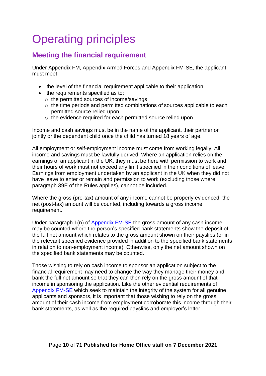# <span id="page-9-0"></span>Operating principles

# <span id="page-9-1"></span>**Meeting the financial requirement**

Under Appendix FM, Appendix Armed Forces and Appendix FM-SE, the applicant must meet:

- the level of the financial requirement applicable to their application
- the requirements specified as to:
	- o the permitted sources of income/savings
	- o the time periods and permitted combinations of sources applicable to each permitted source relied upon
	- o the evidence required for each permitted source relied upon

Income and cash savings must be in the name of the applicant, their partner or jointly or the dependent child once the child has turned 18 years of age.

All employment or self-employment income must come from working legally. All income and savings must be lawfully derived. Where an application relies on the earnings of an applicant in the UK, they must be here with permission to work and their hours of work must not exceed any limit specified in their conditions of leave. Earnings from employment undertaken by an applicant in the UK when they did not have leave to enter or remain and permission to work (excluding those where paragraph 39E of the Rules applies), cannot be included.

Where the gross (pre-tax) amount of any income cannot be properly evidenced, the net (post-tax) amount will be counted, including towards a gross income requirement.

Under paragraph 1(n) of [Appendix FM-SE](https://www.gov.uk/guidance/immigration-rules/immigration-rules-appendix-fm-se-family-members-specified-evidence) the gross amount of any cash income may be counted where the person's specified bank statements show the deposit of the full net amount which relates to the gross amount shown on their payslips (or in the relevant specified evidence provided in addition to the specified bank statements in relation to non-employment income). Otherwise, only the net amount shown on the specified bank statements may be counted.

Those wishing to rely on cash income to sponsor an application subject to the financial requirement may need to change the way they manage their money and bank the full net amount so that they can then rely on the gross amount of that income in sponsoring the application. Like the other evidential requirements of [Appendix FM-SE](https://www.gov.uk/guidance/immigration-rules/immigration-rules-appendix-fm-se-family-members-specified-evidence) which seek to maintain the integrity of the system for all genuine applicants and sponsors, it is important that those wishing to rely on the gross amount of their cash income from employment corroborate this income through their bank statements, as well as the required payslips and employer's letter.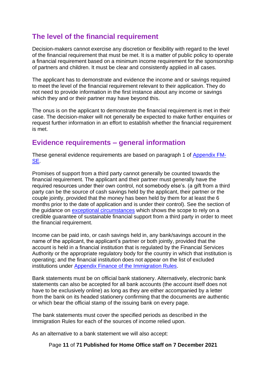## <span id="page-10-0"></span>**The level of the financial requirement**

Decision-makers cannot exercise any discretion or flexibility with regard to the level of the financial requirement that must be met. It is a matter of public policy to operate a financial requirement based on a minimum income requirement for the sponsorship of partners and children. It must be clear and consistently applied in all cases.

The applicant has to demonstrate and evidence the income and or savings required to meet the level of the financial requirement relevant to their application. They do not need to provide information in the first instance about any income or savings which they and or their partner may have beyond this.

The onus is on the applicant to demonstrate the financial requirement is met in their case. The decision-maker will not generally be expected to make further enquiries or request further information in an effort to establish whether the financial requirement is met.

## <span id="page-10-1"></span>**Evidence requirements – general information**

These general evidence requirements are based on paragraph 1 of [Appendix FM-](https://www.gov.uk/guidance/immigration-rules/immigration-rules-appendix-fm-se-family-members-specified-evidence)[SE.](https://www.gov.uk/guidance/immigration-rules/immigration-rules-appendix-fm-se-family-members-specified-evidence)

Promises of support from a third party cannot generally be counted towards the financial requirement. The applicant and their partner must generally have the required resources under their own control, not somebody else's. (a gift from a third party can be the source of cash savings held by the applicant, their partner or the couple jointly, provided that the money has been held by them for at least the 6 months prior to the date of application and is under their control). See the section of the guidance on exceptional circumstances which shows the scope to rely on a credible guarantee of sustainable financial support from a third party in order to meet the financial requirement.

Income can be paid into, or cash savings held in, any bank/savings account in the name of the applicant, the applicant's partner or both jointly, provided that the account is held in a financial institution that is regulated by the Financial Services Authority or the appropriate regulatory body for the country in which that institution is operating; and the financial institution does not appear on the list of excluded institutions under [Appendix Finance of the Immigration Rules.](https://www.gov.uk/guidance/immigration-rules)

Bank statements must be on official bank stationery. Alternatively, electronic bank statements can also be accepted for all bank accounts (the account itself does not have to be exclusively online) as long as they are either accompanied by a letter from the bank on its headed stationery confirming that the documents are authentic or which bear the official stamp of the issuing bank on every page.

The bank statements must cover the specified periods as described in the Immigration Rules for each of the sources of income relied upon.

As an alternative to a bank statement we will also accept:

Page **11** of **71 Published for Home Office staff on 7 December 2021**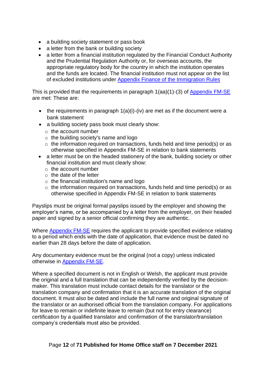- a building society statement or pass book
- a letter from the bank or building society
- a letter from a financial institution regulated by the Financial Conduct Authority and the Prudential Regulation Authority or, for overseas accounts, the appropriate regulatory body for the country in which the institution operates and the funds are located. The financial institution must not appear on the list of excluded institutions under [Appendix Finance of the Immigration Rules](https://www.gov.uk/guidance/immigration-rules)

This is provided that the requirements in paragraph 1(aa)(1)-(3) of [Appendix FM-SE](http://www.ukba.homeoffice.gov.uk/policyandlaw/immigrationlaw/immigrationrules/appendix-fmse/) are met: These are:

- the requirements in paragraph  $1(a)(i)$ -(iv) are met as if the document were a bank statement
- a building society pass book must clearly show:
	- $\circ$  the account number
	- $\circ$  the building society's name and logo
	- $\circ$  the information required on transactions, funds held and time period(s) or as otherwise specified in Appendix FM-SE in relation to bank statements
- a letter must be on the headed stationery of the bank, building society or other financial institution and must clearly show:
	- $\circ$  the account number
	- o the date of the letter
	- $\circ$  the financial institution's name and logo
	- o the information required on transactions, funds held and time period(s) or as otherwise specified in Appendix FM-SE in relation to bank statements

Payslips must be original formal payslips issued by the employer and showing the employer's name, or be accompanied by a letter from the employer, on their headed paper and signed by a senior official confirming they are authentic.

Where [Appendix FM-SE](https://www.gov.uk/guidance/immigration-rules/immigration-rules-appendix-fm-se-family-members-specified-evidence) requires the applicant to provide specified evidence relating to a period which ends with the date of application, that evidence must be dated no earlier than 28 days before the date of application.

Any documentary evidence must be the original (not a copy) unless indicated otherwise in [Appendix FM-SE.](https://www.gov.uk/guidance/immigration-rules/immigration-rules-appendix-fm-se-family-members-specified-evidence)

Where a specified document is not in English or Welsh, the applicant must provide the original and a full translation that can be independently verified by the decisionmaker. This translation must include contact details for the translator or the translation company and confirmation that it is an accurate translation of the original document. It must also be dated and include the full name and original signature of the translator or an authorised official from the translation company. For applications for leave to remain or indefinite leave to remain (but not for entry clearance) certification by a qualified translator and confirmation of the translator/translation company's credentials must also be provided.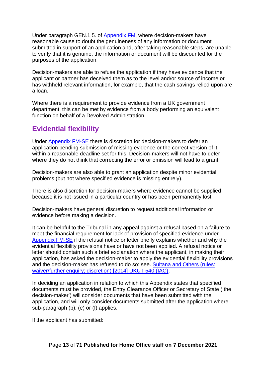Under paragraph GEN.1.5. of [Appendix FM,](https://www.gov.uk/guidance/immigration-rules/immigration-rules-appendix-fm-family-members) where decision-makers have reasonable cause to doubt the genuineness of any information or document submitted in support of an application and, after taking reasonable steps, are unable to verify that it is genuine, the information or document will be discounted for the purposes of the application.

Decision-makers are able to refuse the application if they have evidence that the applicant or partner has deceived them as to the level and/or source of income or has withheld relevant information, for example, that the cash savings relied upon are a loan.

Where there is a requirement to provide evidence from a UK government department, this can be met by evidence from a body performing an equivalent function on behalf of a Devolved Administration.

# <span id="page-12-0"></span>**Evidential flexibility**

Under [Appendix FM-SE](https://www.gov.uk/guidance/immigration-rules/immigration-rules-appendix-fm-se-family-members-specified-evidence) there is discretion for decision-makers to defer an application pending submission of missing evidence or the correct version of it, within a reasonable deadline set for this. Decision-makers will not have to defer where they do not think that correcting the error or omission will lead to a grant.

Decision-makers are also able to grant an application despite minor evidential problems (but not where specified evidence is missing entirely).

There is also discretion for decision-makers where evidence cannot be supplied because it is not issued in a particular country or has been permanently lost.

Decision-makers have general discretion to request additional information or evidence before making a decision.

It can be helpful to the Tribunal in any appeal against a refusal based on a failure to meet the financial requirement for lack of provision of specified evidence under [Appendix FM-SE](https://www.gov.uk/guidance/immigration-rules/immigration-rules-appendix-fm-se-family-members-specified-evidence) if the refusal notice or letter briefly explains whether and why the evidential flexibility provisions have or have not been applied. A refusal notice or letter should contain such a brief explanation where the applicant, in making their application, has asked the decision-maker to apply the evidential flexibility provisions and the decision-maker has refused to do so: see. [Sultana and Others \(rules:](https://tribunalsdecisions.service.gov.uk/utiac/2014-ukut-540)  [waiver/further enquiry; discretion\) \[2014\] UKUT 540 \(IAC\).](https://tribunalsdecisions.service.gov.uk/utiac/2014-ukut-540)

In deciding an application in relation to which this Appendix states that specified documents must be provided, the Entry Clearance Officer or Secretary of State ('the decision-maker') will consider documents that have been submitted with the application, and will only consider documents submitted after the application where sub-paragraph (b), (e) or (f) applies.

If the applicant has submitted: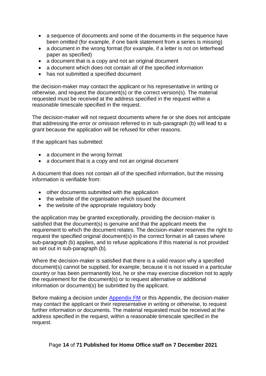- a sequence of documents and some of the documents in the sequence have been omitted (for example, if one bank statement from a series is missing)
- a document in the wrong format (for example, if a letter is not on letterhead paper as specified)
- a document that is a copy and not an original document
- a document which does not contain all of the specified information
- has not submitted a specified document

the decision-maker may contact the applicant or his representative in writing or otherwise, and request the document(s) or the correct version(s). The material requested must be received at the address specified in the request within a reasonable timescale specified in the request.

The decision-maker will not request documents where he or she does not anticipate that addressing the error or omission referred to in sub-paragraph (b) will lead to a grant because the application will be refused for other reasons.

If the applicant has submitted:

- a document in the wrong format
- a document that is a copy and not an original document

A document that does not contain all of the specified information, but the missing information is verifiable from:

- other documents submitted with the application
- the website of the organisation which issued the document
- the website of the appropriate regulatory body

the application may be granted exceptionally, providing the decision-maker is satisfied that the document(s) is genuine and that the applicant meets the requirement to which the document relates. The decision-maker reserves the right to request the specified original document(s) in the correct format in all cases where sub-paragraph (b) applies, and to refuse applications if this material is not provided as set out in sub-paragraph (b).

Where the decision-maker is satisfied that there is a valid reason why a specified document(s) cannot be supplied, for example, because it is not issued in a particular country or has been permanently lost, he or she may exercise discretion not to apply the requirement for the document(s) or to request alternative or additional information or document(s) be submitted by the applicant.

Before making a decision under [Appendix FM](https://www.gov.uk/guidance/immigration-rules/immigration-rules-appendix-fm-family-members) or this Appendix, the decision-maker may contact the applicant or their representative in writing or otherwise, to request further information or documents. The material requested must be received at the address specified in the request, within a reasonable timescale specified in the request.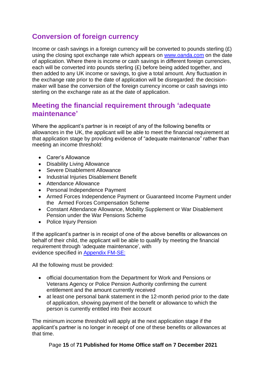# <span id="page-14-0"></span>**Conversion of foreign currency**

Income or cash savings in a foreign currency will be converted to pounds sterling  $(E)$ using the closing spot exchange rate which appears on [www.oanda.com](http://www.oanda.com/) on the date of application. Where there is income or cash savings in different foreign currencies, each will be converted into pounds sterling (£) before being added together, and then added to any UK income or savings, to give a total amount. Any fluctuation in the exchange rate prior to the date of application will be disregarded: the decisionmaker will base the conversion of the foreign currency income or cash savings into sterling on the exchange rate as at the date of application.

### <span id="page-14-1"></span>**Meeting the financial requirement through 'adequate maintenance'**

Where the applicant's partner is in receipt of any of the following benefits or allowances in the UK, the applicant will be able to meet the financial requirement at that application stage by providing evidence of "adequate maintenance" rather than meeting an income threshold:

- Carer's Allowance
- Disability Living Allowance
- Severe Disablement Allowance
- Industrial Injuries Disablement Benefit
- Attendance Allowance
- Personal Independence Payment
- Armed Forces Independence Payment or Guaranteed Income Payment under the Armed Forces Compensation Scheme
- Constant Attendance Allowance, Mobility Supplement or War Disablement Pension under the War Pensions Scheme
- Police Injury Pension

If the applicant's partner is in receipt of one of the above benefits or allowances on behalf of their child, the applicant will be able to qualify by meeting the financial requirement through 'adequate maintenance', with evidence specified in [Appendix FM-SE:](https://www.gov.uk/guidance/immigration-rules/immigration-rules-appendix-fm-se-family-members-specified-evidence) 

All the following must be provided:

- official documentation from the Department for Work and Pensions or Veterans Agency or Police Pension Authority confirming the current entitlement and the amount currently received
- at least one personal bank statement in the 12-month period prior to the date of application, showing payment of the benefit or allowance to which the person is currently entitled into their account

The minimum income threshold will apply at the next application stage if the applicant's partner is no longer in receipt of one of these benefits or allowances at that time.

Page **15** of **71 Published for Home Office staff on 7 December 2021**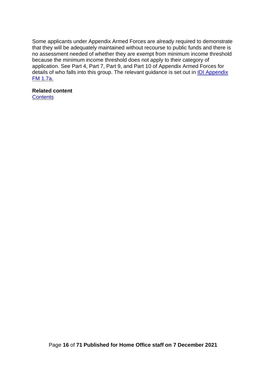Some applicants under Appendix Armed Forces are already required to demonstrate that they will be adequately maintained without recourse to public funds and there is no assessment needed of whether they are exempt from minimum income threshold because the minimum income threshold does not apply to their category of application. See Part 4, Part 7, Part 9, and Part 10 of Appendix Armed Forces for details of who falls into this group. The relevant guidance is set out in [IDI Appendix](https://www.gov.uk/government/publications/chapter-8-appendix-fm-family-members)  [FM](https://www.gov.uk/government/publications/chapter-8-appendix-fm-family-members) [1.7a.](https://www.gov.uk/government/publications/chapter-8-appendix-fm-family-members) 

#### **Related content**

**[Contents](#page-1-0)**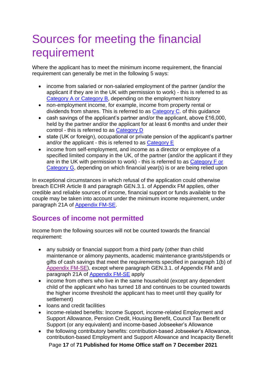# <span id="page-16-0"></span>Sources for meeting the financial requirement

Where the applicant has to meet the minimum income requirement, the financial requirement can generally be met in the following 5 ways:

- income from salaried or non-salaried employment of the partner (and/or the applicant if they are in the UK with permission to work) - this is referred to as Category A or Category B, depending on the employment history
- non-employment income, for example, income from property rental or dividends from shares. This is referred to as [Category C.](#page-36-1) of this guidance
- cash savings of the applicant's partner and/or the applicant, above £16,000, held by the partner and/or the applicant for at least 6 months and under their control - this is referred to as [Category D](#page-43-1)
- state (UK or foreign), occupational or private pension of the applicant's partner and/or the applicant - this is referred to as [Category E](#page-52-1)
- income from self-employment, and income as a director or employee of a specified limited company in the UK, of the partner (and/or the applicant if they are in the UK with permission to work) - this is referred to as [Category F or](#page-53-0)  [Category G,](#page-53-0) depending on which financial year(s) is or are being relied upon

In exceptional circumstances in which refusal of the application could otherwise breach ECHR Article 8 and paragraph GEN.3.1. of Appendix FM applies, other credible and reliable sources of income, financial support or funds available to the couple may be taken into account under the minimum income requirement, under paragraph 21A of [Appendix FM-SE.](https://www.gov.uk/guidance/immigration-rules/immigration-rules-appendix-fm-family-members)

## <span id="page-16-1"></span>**Sources of income not permitted**

Income from the following sources will not be counted towards the financial requirement:

- any subsidy or financial support from a third party (other than child maintenance or alimony payments, academic maintenance grants/stipends or gifts of cash savings that meet the requirements specified in paragraph 1(b) of [Appendix FM-SE\),](https://www.gov.uk/guidance/immigration-rules/immigration-rules-appendix-fm-se-family-members-specified-evidence) except where paragraph GEN.3.1. of Appendix FM and paragraph 21A of [Appendix FM-SE](https://www.gov.uk/guidance/immigration-rules/immigration-rules-appendix-fm-se-family-members-specified-evidence) apply
- income from others who live in the same household (except any dependent child of the applicant who has turned 18 and continues to be counted towards the higher income threshold the applicant has to meet until they qualify for settlement)
- loans and credit facilities
- income-related benefits: Income Support, income-related Employment and Support Allowance, Pension Credit, Housing Benefit, Council Tax Benefit or Support (or any equivalent) and income-based Jobseeker's Allowance
- the following contributory benefits: contribution-based Jobseeker's Allowance, contribution-based Employment and Support Allowance and Incapacity Benefit

Page **17** of **71 Published for Home Office staff on 7 December 2021**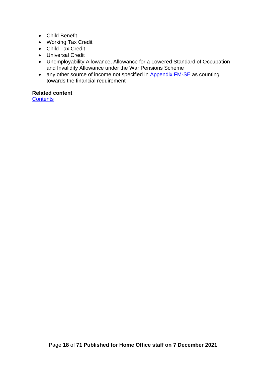- Child Benefit
- Working Tax Credit
- Child Tax Credit
- Universal Credit
- Unemployability Allowance, Allowance for a Lowered Standard of Occupation and Invalidity Allowance under the War Pensions Scheme
- a[n](https://www.gov.uk/guidance/immigration-rules/immigration-rules-appendix-fm-se-family-members-specified-evidence)y other source of income not specified in [Appendix FM-SE](https://www.gov.uk/guidance/immigration-rules/immigration-rules-appendix-fm-se-family-members-specified-evidence) [as](https://www.gov.uk/guidance/immigration-rules/immigration-rules-appendix-fm-se-family-members-specified-evidence) counting towards the financial requirement

#### **Related content**

**[Contents](#page-1-0)**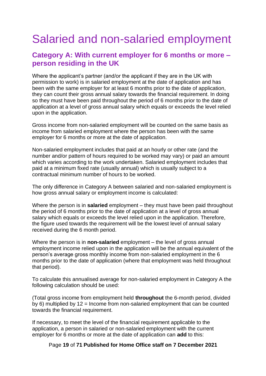# <span id="page-18-0"></span>Salaried and non-salaried employment

### <span id="page-18-1"></span>**Category A: With current employer for 6 months or more – person residing in the UK**

Where the applicant's partner (and/or the applicant if they are in the UK with permission to work) is in salaried employment at the date of application and has been with the same employer for at least 6 months prior to the date of application, they can count their gross annual salary towards the financial requirement. In doing so they must have been paid throughout the period of 6 months prior to the date of application at a level of gross annual salary which equals or exceeds the level relied upon in the application.

Gross income from non-salaried employment will be counted on the same basis as income from salaried employment where the person has been with the same employer for 6 months or more at the date of application.

Non-salaried employment includes that paid at an hourly or other rate (and the number and/or pattern of hours required to be worked may vary) or paid an amount which varies according to the work undertaken. Salaried employment includes that paid at a minimum fixed rate (usually annual) which is usually subject to a contractual minimum number of hours to be worked.

The only difference in Category A between salaried and non-salaried employment is how gross annual salary or employment income is calculated:

Where the person is in **salaried** employment – they must have been paid throughout the period of 6 months prior to the date of application at a level of gross annual salary which equals or exceeds the level relied upon in the application. Therefore, the figure used towards the requirement will be the lowest level of annual salary received during the 6 month period.

Where the person is in **non-salaried** employment – the level of gross annual employment income relied upon in the application will be the annual equivalent of the person's average gross monthly income from non-salaried employment in the 6 months prior to the date of application (where that employment was held throughout that period).

To calculate this annualised average for non-salaried employment in Category A the following calculation should be used:

(Total gross income from employment held **throughout** the 6-month period, divided by 6) multiplied by 12 = Income from non-salaried employment that can be counted towards the financial requirement.

If necessary, to meet the level of the financial requirement applicable to the application, a person in salaried or non-salaried employment with the current employer for 6 months or more at the date of application can **add** to this:

Page **19** of **71 Published for Home Office staff on 7 December 2021**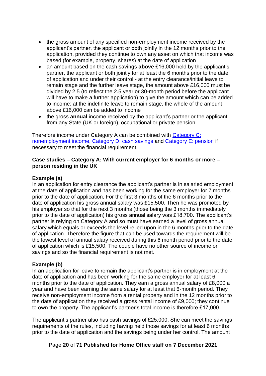- the gross amount of any specified non-employment income received by the applicant's partner, the applicant or both jointly in the 12 months prior to the application, provided they continue to own any asset on which that income was based (for example, property, shares) at the date of application
- an amount based on the cash savings **above** £16,000 held by the applicant's partner, the applicant or both jointly for at least the 6 months prior to the date of application and under their control - at the entry clearance/initial leave to remain stage and the further leave stage, the amount above £16,000 must be divided by 2.5 (to reflect the 2.5 year or 30-month period before the applicant will have to make a further application) to give the amount which can be added to income: at the indefinite leave to remain stage, the whole of the amount above £16,000 can be added to income
- the gross **annual** income received by the applicant's partner or the applicant from any State (UK or foreign), occupational or private pension

Therefore income under Category A can be combined with [Category C:](#page-36-1)  [nonemployment income,](#page-36-1) [Category D: cash savings](#page-43-1) and [Category E: pension](#page-52-1) if necessary to meet the financial requirement.

#### **Case studies – Category A: With current employer for 6 months or more – person residing in the UK**

#### **Example (a)**

In an application for entry clearance the applicant's partner is in salaried employment at the date of application and has been working for the same employer for 7 months prior to the date of application. For the first 3 months of the 6 months prior to the date of application his gross annual salary was £15,500. Then he was promoted by his employer so that for the next 3 months (those being the 3 months immediately prior to the date of application) his gross annual salary was £18,700. The applicant's partner is relying on Category A and so must have earned a level of gross annual salary which equals or exceeds the level relied upon in the 6 months prior to the date of application. Therefore the figure that can be used towards the requirement will be the lowest level of annual salary received during this 6 month period prior to the date of application which is £15,500. The couple have no other source of income or savings and so the financial requirement is not met.

#### **Example (b)**

In an application for leave to remain the applicant's partner is in employment at the date of application and has been working for the same employer for at least 6 months prior to the date of application. They earn a gross annual salary of £8,000 a year and have been earning the same salary for at least that 6-month period. They receive non-employment income from a rental property and in the 12 months prior to the date of application they received a gross rental income of £9,000; they continue to own the property. The applicant's partner's total income is therefore £17,000.

The applicant's partner also has cash savings of £25,000. She can meet the savings requirements of the rules, including having held those savings for at least 6 months prior to the date of application and the savings being under her control. The amount

Page **20** of **71 Published for Home Office staff on 7 December 2021**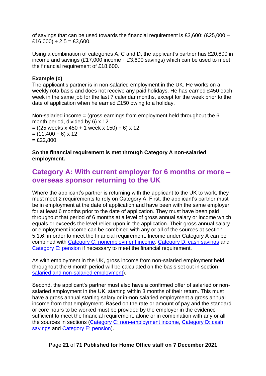of savings that can be used towards the financial requirement is £3,600: (£25,000 –  $£16,000) \div 2.5 = £3,600.$ 

Using a combination of categories A, C and D, the applicant's partner has £20,600 in income and savings  $(E17,000)$  income  $+ E3,600$  savings) which can be used to meet the financial requirement of £18,600.

#### **Example (c)**

The applicant's partner is in non-salaried employment in the UK. He works on a weekly rota basis and does not receive any paid holidays. He has earned £450 each week in the same job for the last 7 calendar months, except for the week prior to the date of application when he earned £150 owing to a holiday.

Non-salaried income = (gross earnings from employment held throughout the 6 month period, divided by 6) x 12  $= ((25 \text{ weeks} \times 450 + 1 \text{ week} \times 150) \div 6) \times 12$  $=$  (11,400  $\div$  6) x 12  $=$  £22,800

#### **So the financial requirement is met through Category A non-salaried employment.**

### <span id="page-20-0"></span>**Category A: With current employer for 6 months or more – overseas sponsor returning to the UK**

Where the applicant's partner is returning with the applicant to the UK to work, they must meet 2 requirements to rely on Category A. First, the applicant's partner must be in employment at the date of application and have been with the same employer for at least 6 months prior to the date of application. They must have been paid throughout that period of 6 months at a level of gross annual salary or income which equals or exceeds the level relied upon in the application. Their gross annual salary or employment income can be combined with any or all of the sources at section 5.1.6. in order to meet the financial requirement. Income under Category A can be combined with [Category C: nonemployment income,](#page-36-1) [Category D: cash savings](#page-43-1) and [Category E: pension](#page-52-1) if necessary to meet the financial requirement.

As with employment in the UK, gross income from non-salaried employment held throughout the 6 month period will be calculated on the basis set out in section salaried and non-salaried employment).

Second, the applicant's partner must also have a confirmed offer of salaried or nonsalaried employment in the UK, starting within 3 months of their return. This must have a gross annual starting salary or in-non salaried employment a gross annual income from that employment. Based on the rate or amount of pay and the standard or core hours to be worked must be provided by the employer in the evidence sufficient to meet the financial requirement, alone or in combination with any or all the sources in sections (Category C: non-employment income, [Category D: cash](#page-42-0)  [savings](#page-42-0) and Category E: pension).

Page **21** of **71 Published for Home Office staff on 7 December 2021**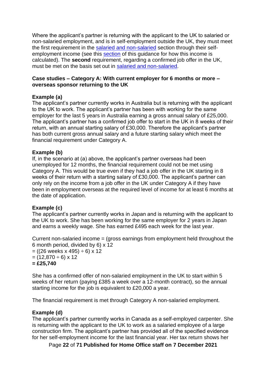Where the applicant's partner is returning with the applicant to the UK to salaried or non-salaried employment, and is in self-employment outside the UK, they must meet the first requirement in the salaried and non-salaried section through their selfemployment income (see this section of this guidance for how this income is calculated). The **second** requirement, regarding a confirmed job offer in the UK, must be met on the basis set out in salaried and non-salaried.

#### **Case studies – Category A: With current employer for 6 months or more – overseas sponsor returning to the UK**

#### **Example (a)**

The applicant's partner currently works in Australia but is returning with the applicant to the UK to work. The applicant's partner has been with working for the same employer for the last 5 years in Australia earning a gross annual salary of £25,000. The applicant's partner has a confirmed job offer to start in the UK in 8 weeks of their return, with an annual starting salary of £30,000. Therefore the applicant's partner has both current gross annual salary and a future starting salary which meet the financial requirement under Category A.

#### **Example (b)**

If, in the scenario at (a) above, the applicant's partner overseas had been unemployed for 12 months, the financial requirement could not be met using Category A. This would be true even if they had a job offer in the UK starting in 8 weeks of their return with a starting salary of £30,000. The applicant's partner can only rely on the income from a job offer in the UK under Category A if they have been in employment overseas at the required level of income for at least 6 months at the date of application.

#### **Example (c)**

The applicant's partner currently works in Japan and is returning with the applicant to the UK to work. She has been working for the same employer for 2 years in Japan and earns a weekly wage. She has earned £495 each week for the last year.

Current non-salaried income = (gross earnings from employment held throughout the 6 month period, divided by 6) x 12  $= ((26 \text{ weeks} \times 495) \div 6) \times 12$  $=$  (12,870  $\div$  6) x 12

**= £25,740** 

She has a confirmed offer of non-salaried employment in the UK to start within 5 weeks of her return (paying £385 a week over a 12-month contract), so the annual starting income for the job is equivalent to £20,000 a year.

The financial requirement is met through Category A non-salaried employment.

#### **Example (d)**

The applicant's partner currently works in Canada as a self-employed carpenter. She is returning with the applicant to the UK to work as a salaried employee of a large construction firm. The applicant's partner has provided all of the specified evidence for her self-employment income for the last financial year. Her tax return shows her

Page **22** of **71 Published for Home Office staff on 7 December 2021**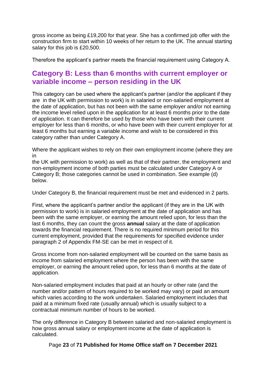gross income as being £19,200 for that year. She has a confirmed job offer with the construction firm to start within 10 weeks of her return to the UK. The annual starting salary for this job is £20,500.

Therefore the applicant's partner meets the financial requirement using Category A.

## <span id="page-22-0"></span>**Category B: Less than 6 months with current employer or variable income – person residing in the UK**

This category can be used where the applicant's partner (and/or the applicant if they are in the UK with permission to work) is in salaried or non-salaried employment at the date of application, but has not been with the same employer and/or not earning the income level relied upon in the application for at least 6 months prior to the date of application. It can therefore be used by those who have been with their current employer for less than 6 months, or who have been with their current employer for at least 6 months but earning a variable income and wish to be considered in this category rather than under Category A.

Where the applicant wishes to rely on their own employment income (where they are in

the UK with permission to work) as well as that of their partner, the employment and non-employment income of both parties must be calculated under Category A or Category B; those categories cannot be used in combination. See example (d) below.

Under Category B, the financial requirement must be met and evidenced in 2 parts.

First, where the applicant's partner and/or the applicant (if they are in the UK with permission to work) is in salaried employment at the date of application and has been with the same employer, or earning the amount relied upon, for less than the last 6 months, they can count the gross **annual** salary at the date of application towards the financial requirement. There is no required minimum period for this current employment, provided that the requirements for specified evidence under paragraph 2 of Appendix FM-SE can be met in respect of it.

Gross income from non-salaried employment will be counted on the same basis as income from salaried employment where the person has been with the same employer, or earning the amount relied upon, for less than 6 months at the date of application.

Non-salaried employment includes that paid at an hourly or other rate (and the number and/or pattern of hours required to be worked may vary) or paid an amount which varies according to the work undertaken. Salaried employment includes that paid at a minimum fixed rate (usually annual) which is usually subject to a contractual minimum number of hours to be worked.

The only difference in Category B between salaried and non-salaried employment is how gross annual salary or employment income at the date of application is calculated.

Page **23** of **71 Published for Home Office staff on 7 December 2021**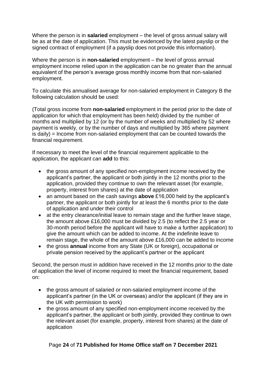Where the person is in **salaried** employment – the level of gross annual salary will be as at the date of application. This must be evidenced by the latest payslip or the signed contract of employment (if a payslip does not provide this information).

Where the person is in **non-salaried** employment – the level of gross annual employment income relied upon in the application can be no greater than the annual equivalent of the person's average gross monthly income from that non-salaried employment.

To calculate this annualised average for non-salaried employment in Category B the following calculation should be used:

(Total gross income from **non-salaried** employment in the period prior to the date of application for which that employment has been held) divided by the number of months and multiplied by 12 (or by the number of weeks and multiplied by 52 where payment is weekly, or by the number of days and multiplied by 365 where payment is daily) = Income from non-salaried employment that can be counted towards the financial requirement.

If necessary to meet the level of the financial requirement applicable to the application, the applicant can **add** to this:

- the gross amount of any specified non-employment income received by the applicant's partner, the applicant or both jointly in the 12 months prior to the application, provided they continue to own the relevant asset (for example, property, interest from shares) at the date of application
- an amount based on the cash savings **above** £16,000 held by the applicant's partner, the applicant or both jointly for at least the 6 months prior to the date of application and under their control
- at the entry clearance/initial leave to remain stage and the further leave stage, the amount above £16,000 must be divided by 2.5 (to reflect the 2.5 year or 30-month period before the applicant will have to make a further application) to give the amount which can be added to income. At the indefinite leave to remain stage, the whole of the amount above £16,000 can be added to income
- the gross **annual** income from any State (UK or foreign), occupational or private pension received by the applicant's partner or the applicant

Second, the person must in addition have received in the 12 months prior to the date of application the level of income required to meet the financial requirement, based on:

- the gross amount of salaried or non-salaried employment income of the applicant's partner (in the UK or overseas) and/or the applicant (if they are in the UK with permission to work)
- the gross amount of any specified non-employment income received by the applicant's partner, the applicant or both jointly, provided they continue to own the relevant asset (for example, property, interest from shares) at the date of application

#### Page **24** of **71 Published for Home Office staff on 7 December 2021**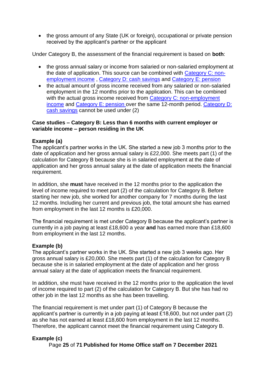• the gross amount of any State (UK or foreign), occupational or private pension received by the applicant's partner or the applicant

Under Category B, the assessment of the financial requirement is based on **both**:

- the gross annual salary or income from salaried or non-salaried employment at the date of application. This source can be combined with [Category C: non](#page-36-1)[employment income](#page-36-1) , [Category D: cash savings](#page-42-0) and Category E: pension
- the actual amount of gross income received from any salaried or non-salaried employment in the 12 months prior to the application. This can be combined with the actual gross income received from Category C: non-employment [income](#page-36-1) and Category E: pension over the same 12-month period. [Category D:](#page-42-0)  [cash savings](#page-42-0) cannot be used under (2)

#### **Case studies – Category B: Less than 6 months with current employer or variable income – person residing in the UK**

#### **Example (a)**

The applicant's partner works in the UK. She started a new job 3 months prior to the date of application and her gross annual salary is £22,000. She meets part (1) of the calculation for Category B because she is in salaried employment at the date of application and her gross annual salary at the date of application meets the financial requirement.

In addition, she **must** have received in the 12 months prior to the application the level of income required to meet part (2) of the calculation for Category B. Before starting her new job, she worked for another company for 7 months during the last 12 months. Including her current and previous job, the total amount she has earned from employment in the last 12 months is £20,000.

The financial requirement is met under Category B because the applicant's partner is currently in a job paying at least £18,600 a year **and** has earned more than £18,600 from employment in the last 12 months.

#### **Example (b)**

The applicant's partner works in the UK. She started a new job 3 weeks ago. Her gross annual salary is £20,000. She meets part (1) of the calculation for Category B because she is in salaried employment at the date of application and her gross annual salary at the date of application meets the financial requirement.

In addition, she must have received in the 12 months prior to the application the level of income required to part (2) of the calculation for Category B. But she has had no other job in the last 12 months as she has been travelling.

The financial requirement is met under part (1) of Category B because the applicant's partner is currently in a job paying at least £18,600, but not under part (2) as she has not earned at least £18,600 from employment in the last 12 months. Therefore, the applicant cannot meet the financial requirement using Category B.

#### **Example (c)**

Page **25** of **71 Published for Home Office staff on 7 December 2021**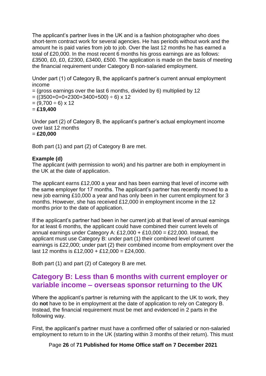The applicant's partner lives in the UK and is a fashion photographer who does short-term contract work for several agencies. He has periods without work and the amount he is paid varies from job to job. Over the last 12 months he has earned a total of £20,000. In the most recent 6 months his gross earnings are as follows: £3500, £0, £0, £2300, £3400, £500. The application is made on the basis of meeting the financial requirement under Category B non-salaried employment.

Under part (1) of Category B, the applicant's partner's current annual employment income

 $=$  (gross earnings over the last 6 months, divided by 6) multiplied by 12

 $= ((3500+0+0+2300+3400+500) \div 6) \times 12$ 

 $= (9,700 \div 6) \times 12$ 

= **£19,400**

Under part (2) of Category B, the applicant's partner's actual employment income over last 12 months

= **£20,000** 

Both part (1) and part (2) of Category B are met.

#### **Example (d)**

The applicant (with permission to work) and his partner are both in employment in the UK at the date of application.

The applicant earns £12,000 a year and has been earning that level of income with the same employer for 17 months. The applicant's partner has recently moved to a new job earning £10,000 a year and has only been in her current employment for 3 months. However, she has received £12,000 in employment income in the 12 months prior to the date of application.

If the applicant's partner had been in her current job at that level of annual earnings for at least 6 months, the applicant could have combined their current levels of annual earnings under Category A: £12,000 + £10,000 = £22,000. Instead, the applicant must use Category B: under part (1) their combined level of current earnings is £22,000; under part (2) their combined income from employment over the last 12 months is £12,000 + £12,000 = £24,000.

Both part (1) and part (2) of Category B are met.

## <span id="page-25-0"></span>**Category B: Less than 6 months with current employer or variable income – overseas sponsor returning to the UK**

Where the applicant's partner is returning with the applicant to the UK to work, they do **not** have to be in employment at the date of application to rely on Category B. Instead, the financial requirement must be met and evidenced in 2 parts in the following way.

First, the applicant's partner must have a confirmed offer of salaried or non-salaried employment to return to in the UK (starting within 3 months of their return). This must

Page **26** of **71 Published for Home Office staff on 7 December 2021**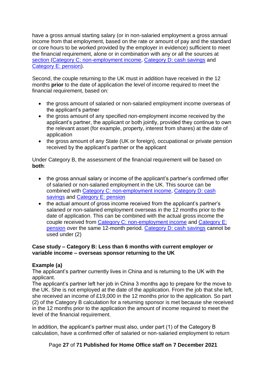have a gross annual starting salary (or in non-salaried employment a gross annual income from that employment, based on the rate or amount of pay and the standard or core hours to be worked provided by the employer in evidence) sufficient to meet the financial requirement, alone or in combination with any or all the sources at section [\(Category C: non-employment income,](#page-36-1) [Category D: cash savings](#page-42-0) and Category E: pension).

Second, the couple returning to the UK must in addition have received in the 12 months **prior** to the date of application the level of income required to meet the financial requirement, based on:

- the gross amount of salaried or non-salaried employment income overseas of the applicant's partner
- the gross amount of any specified non-employment income received by the applicant's partner, the applicant or both jointly, provided they continue to own the relevant asset (for example, property, interest from shares) at the date of application
- the gross amount of any State (UK or foreign), occupational or private pension received by the applicant's partner or the applicant

Under Category B, the assessment of the financial requirement will be based on **both**:

- the gross annual salary or income of the applicant's partner's confirmed offer of salaried or non-salaried employment in the UK. This source can be combined with Category C: non-employment income, Category D: cash [savings](#page-43-1) and Category E: pension
- the actual amount of gross income received from the applicant's partner's salaried or non-salaried employment overseas in the 12 months prior to the date of application. This can be combined with the actual gross income the couple received from [Category C: non-employment income](#page-36-1) and Category E: pension over the same 12-month period. [Category D: cash savings](#page-43-1) cannot be used under (2)

#### **Case study – Category B: Less than 6 months with current employer or variable income – overseas sponsor returning to the UK**

#### **Example (a)**

The applicant's partner currently lives in China and is returning to the UK with the applicant.

The applicant's partner left her job in China 3 months ago to prepare for the move to the UK. She is not employed at the date of the application. From the job that she left, she received an income of £19,000 in the 12 months prior to the application. So part (2) of the Category B calculation for a returning sponsor is met because she received in the 12 months prior to the application the amount of income required to meet the level of the financial requirement.

In addition, the applicant's partner must also, under part (1) of the Category B calculation, have a confirmed offer of salaried or non-salaried employment to return

Page **27** of **71 Published for Home Office staff on 7 December 2021**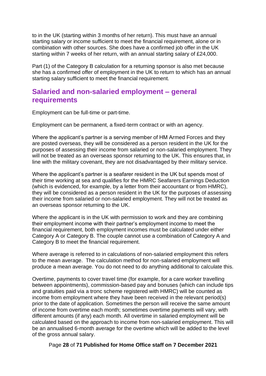to in the UK (starting within 3 months of her return). This must have an annual starting salary or income sufficient to meet the financial requirement, alone or in combination with other sources. She does have a confirmed job offer in the UK starting within 7 weeks of her return, with an annual starting salary of £24,000.

Part (1) of the Category B calculation for a returning sponsor is also met because she has a confirmed offer of employment in the UK to return to which has an annual starting salary sufficient to meet the financial requirement.

### <span id="page-27-0"></span>**Salaried and non-salaried employment – general requirements**

Employment can be full-time or part-time.

Employment can be permanent, a fixed-term contract or with an agency.

Where the applicant's partner is a serving member of HM Armed Forces and they are posted overseas, they will be considered as a person resident in the UK for the purposes of assessing their income from salaried or non-salaried employment. They will not be treated as an overseas sponsor returning to the UK. This ensures that, in line with the military covenant, they are not disadvantaged by their military service.

Where the applicant's partner is a seafarer resident in the UK but spends most of their time working at sea and qualifies for the HMRC Seafarers Earnings Deduction (which is evidenced, for example, by a letter from their accountant or from HMRC), they will be considered as a person resident in the UK for the purposes of assessing their income from salaried or non-salaried employment. They will not be treated as an overseas sponsor returning to the UK.

Where the applicant is in the UK with permission to work and they are combining their employment income with their partner's employment income to meet the financial requirement, both employment incomes must be calculated under either Category A or Category B. The couple cannot use a combination of Category A and Category B to meet the financial requirement.

Where average is referred to in calculations of non-salaried employment this refers to the mean average. The calculation method for non-salaried employment will produce a mean average. You do not need to do anything additional to calculate this.

Overtime, payments to cover travel time (for example, for a care worker travelling between appointments), commission-based pay and bonuses (which can include tips and gratuities paid via a tronc scheme registered with HMRC) will be counted as income from employment where they have been received in the relevant period(s) prior to the date of application. Sometimes the person will receive the same amount of income from overtime each month; sometimes overtime payments will vary, with different amounts (if any) each month. All overtime in salaried employment will be calculated based on the approach to income from non-salaried employment. This will be an annualised 6-month average for the overtime which will be added to the level of the gross annual salary.

Page **28** of **71 Published for Home Office staff on 7 December 2021**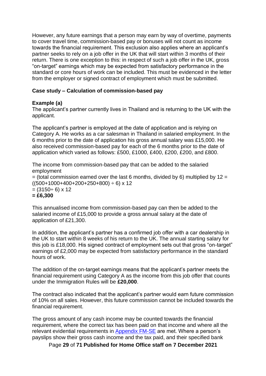However, any future earnings that a person may earn by way of overtime, payments to cover travel time, commission-based pay or bonuses will not count as income towards the financial requirement. This exclusion also applies where an applicant's partner seeks to rely on a job offer in the UK that will start within 3 months of their return. There is one exception to this: in respect of such a job offer in the UK, gross "on-target" earnings which may be expected from satisfactory performance in the standard or core hours of work can be included. This must be evidenced in the letter from the employer or signed contract of employment which must be submitted.

#### **Case study – Calculation of commission-based pay**

#### **Example (a)**

The applicant's partner currently lives in Thailand and is returning to the UK with the applicant.

The applicant's partner is employed at the date of application and is relying on Category A. He works as a car salesman in Thailand in salaried employment. In the 6 months prior to the date of application his gross annual salary was £15,000. He also received commission-based pay for each of the 6 months prior to the date of application which varied as follows: £500, £1000, £400, £200, £200, and £800.

The income from commission-based pay that can be added to the salaried employment  $=$  (total commission earned over the last 6 months, divided by 6) multiplied by 12  $=$  $((500+1000+400+200+250+800) \div 6) \times 12$  $= (3150 \div 6) \times 12$ **= £6,300** 

This annualised income from commission-based pay can then be added to the salaried income of £15,000 to provide a gross annual salary at the date of application of £21,300.

In addition, the applicant's partner has a confirmed job offer with a car dealership in the UK to start within 8 weeks of his return to the UK. The annual starting salary for this job is £18,000. His signed contract of employment sets out that gross "on-target" earnings of £2,000 may be expected from satisfactory performance in the standard hours of work.

The addition of the on-target earnings means that the applicant's partner meets the financial requirement using Category A as the income from this job offer that counts under the Immigration Rules will be **£20,000**.

The contract also indicated that the applicant's partner would earn future commission of 10% on all sales. However, this future commission cannot be included towards the financial requirement.

The gross amount of any cash income may be counted towards the financial requirement, where the correct tax has been paid on that income and where all the relevant evidential requirements in [Appendix FM-SE](https://www.gov.uk/guidance/immigration-rules/immigration-rules-appendix-fm-se-family-members-specified-evidence) are met. Where a person's payslips show their gross cash income and the tax paid, and their specified bank

Page **29** of **71 Published for Home Office staff on 7 December 2021**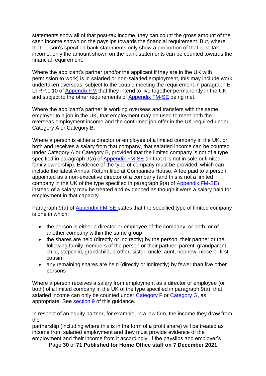statements show all of that post-tax income, they can count the gross amount of the cash income shown on the payslips towards the financial requirement. But, where that person's specified bank statements only show a proportion of that post-tax income, only the amount shown on the bank statements can be counted towards the financial requirement.

Where the applicant's partner (and/or the applicant if they are in the UK with permission to work) is in salaried or non-salaried employment, this may include work undertaken overseas, subject to the couple meeting the requirement in paragraph E-LTRP.1.10 of [Appendix FM](https://www.gov.uk/guidance/immigration-rules/immigration-rules-appendix-fm-family-members) that they intend to live together permanently in the UK and subject to the other requirements of [Appendix FM-SE](https://www.gov.uk/guidance/immigration-rules/immigration-rules-appendix-fm-se-family-members-specified-evidence) being met.

Where the applicant's partner is working overseas and transfers with the same employer to a job in the UK, that employment may be used to meet both the overseas employment income and the confirmed job offer in the UK required under Category A or Category B.

Where a person is either a director or employee of a limited company in the UK, or both and receives a salary from that company, that salaried income can be counted under Category A or Category B, provided that the limited company is not of a type specified in paragraph 9(a) of [Appendix FM-SE](https://www.gov.uk/guidance/immigration-rules/immigration-rules-appendix-fm-se-family-members-specified-evidence) (in that it is not in sole or limited family ownership). Evidence of the type of company must be provided, which can include the latest Annual Return filed at Companies House. A fee paid to a person appointed as a non-executive director of a company (and this is not a limited company in the UK of the type specified in paragraph 9(a) of [Appendix FM-SE\)](https://www.gov.uk/guidance/immigration-rules/immigration-rules-appendix-fm-se-family-members-specified-evidence) instead of a salary may be treated and evidenced as though it were a salary paid for employment in that capacity.

Paragraph 9(a) of [Appendix FM-SE](https://www.gov.uk/guidance/immigration-rules/immigration-rules-appendix-fm-se-family-members-specified-evidence) [s](https://www.gov.uk/guidance/immigration-rules/immigration-rules-appendix-fm-se-family-members-specified-evidence)tates that the specified type of limited company is one in which:

- the person is either a director or employee of the company, or both, or of another company within the same group
- the shares are held (directly or indirectly) by the person, their partner or the following family members of the person or their partner: parent, grandparent, child, stepchild, grandchild, brother, sister, uncle, aunt, nephew, niece or first cousin
- any remaining shares are held (directly or indirectly) by fewer than five other persons

Where a person receives a salary from employment as a director or employee (or both) of a limited company in the UK of the type specified in paragraph 9(a), that salaried income can only be counted under [Category F](#page-54-1) or [Category G,](#page-54-2) as appropriate. See [section 9](#page-53-0) of this guidance.

In respect of an equity partner, for example, in a law firm, the income they draw from the

partnership (including where this is in the form of a profit share) will be treated as income from salaried employment and they must provide evidence of the employment and their income from it accordingly. If the payslips and employer's

Page **30** of **71 Published for Home Office staff on 7 December 2021**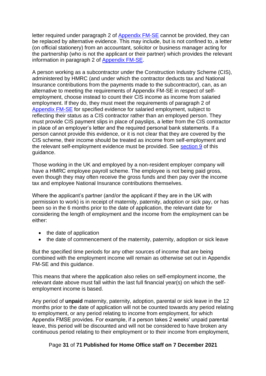letter required under paragraph 2 of [Appendix FM-SE](https://www.gov.uk/guidance/immigration-rules/immigration-rules-appendix-fm-se-family-members-specified-evidence) cannot be provided, they can be replaced by alternative evidence. This may include, but is not confined to, a letter (on official stationery) from an accountant, solicitor or business manager acting for the partnership (who is not the applicant or their partner) which provides the relevant information in paragraph 2 of [Appendix FM-SE.](https://www.gov.uk/guidance/immigration-rules/immigration-rules-appendix-fm-se-family-members-specified-evidence)

A person working as a subcontractor under the Construction Industry Scheme (CIS), administered by HMRC (and under which the contractor deducts tax and National Insurance contributions from the payments made to the subcontractor), can, as an alternative to meeting the requirements of Appendix FM-SE in respect of selfemployment, choose instead to count their CIS income as income from salaried employment. If they do, they must meet the requirements of paragraph 2 of [Appendix FM-SE](https://www.gov.uk/guidance/immigration-rules/immigration-rules-appendix-fm-se-family-members-specified-evidence) for specified evidence for salaried employment, subject to reflecting their status as a CIS contractor rather than an employed person. They must provide CIS payment slips in place of payslips, a letter from the CIS contractor in place of an employer's letter and the required personal bank statements. If a person cannot provide this evidence, or it is not clear that they are covered by the CIS scheme, their income should be treated as income from self-employment and the relevant self-employment evidence must be provided. See [section 9](#page-53-0) of this guidance.

Those working in the UK and employed by a non-resident employer company will have a HMRC employee payroll scheme. The employee is not being paid gross, even though they may often receive the gross funds and then pay over the income tax and employee National Insurance contributions themselves.

Where the applicant's partner (and/or the applicant if they are in the UK with permission to work) is in receipt of maternity, paternity, adoption or sick pay, or has been so in the 6 months prior to the date of application, the relevant date for considering the length of employment and the income from the employment can be either:

- the date of application
- the date of commencement of the maternity, paternity, adoption or sick leave

But the specified time periods for any other sources of income that are being combined with the employment income will remain as otherwise set out in Appendix FM-SE and this guidance.

This means that where the application also relies on self-employment income, the relevant date above must fall within the last full financial year(s) on which the selfemployment income is based.

Any period of **unpaid** maternity, paternity, adoption, parental or sick leave in the 12 months prior to the date of application will not be counted towards any period relating to employment, or any period relating to income from employment, for which Appendix FMSE provides. For example, if a person takes 2 weeks' unpaid parental leave, this period will be discounted and will not be considered to have broken any continuous period relating to their employment or to their income from employment,

#### Page **31** of **71 Published for Home Office staff on 7 December 2021**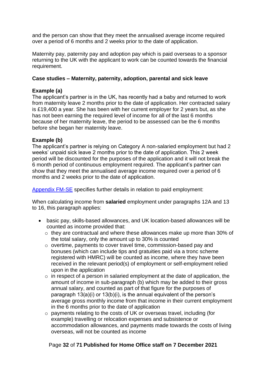and the person can show that they meet the annualised average income required over a period of 6 months and 2 weeks prior to the date of application.

Maternity pay, paternity pay and adoption pay which is paid overseas to a sponsor returning to the UK with the applicant to work can be counted towards the financial requirement.

#### **Case studies – Maternity, paternity, adoption, parental and sick leave**

#### **Example (a)**

The applicant's partner is in the UK, has recently had a baby and returned to work from maternity leave 2 months prior to the date of application. Her contracted salary is £19,400 a year. She has been with her current employer for 2 years but, as she has not been earning the required level of income for all of the last 6 months because of her maternity leave, the period to be assessed can be the 6 months before she began her maternity leave.

#### **Example (b)**

The applicant's partner is relying on Category A non-salaried employment but had 2 weeks' unpaid sick leave 2 months prior to the date of application. This 2 week period will be discounted for the purposes of the application and it will not break the 6 month period of continuous employment required. The applicant's partner can show that they meet the annualised average income required over a period of 6 months and 2 weeks prior to the date of application.

[Appendix FM-SE](https://www.gov.uk/guidance/immigration-rules) specifies further details in relation to paid employment:

When calculating income from **salaried** employment under paragraphs 12A and 13 to 16, this paragraph applies:

- basic pay, skills-based allowances, and UK location-based allowances will be counted as income provided that:
	- o they are contractual and where these allowances make up more than 30% of the total salary, only the amount up to 30% is counted
	- o overtime, payments to cover travel time, commission-based pay and bonuses (which can include tips and gratuities paid via a tronc scheme registered with HMRC) will be counted as income, where they have been received in the relevant period(s) of employment or self-employment relied upon in the application
	- $\circ$  in respect of a person in salaried employment at the date of application, the amount of income in sub-paragraph (b) which may be added to their gross annual salary, and counted as part of that figure for the purposes of paragraph 13(a)(i) or 13(b)(i), is the annual equivalent of the person's average gross monthly income from that income in their current employment in the 6 months prior to the date of application
	- o payments relating to the costs of UK or overseas travel, including (for example) travelling or relocation expenses and subsistence or accommodation allowances, and payments made towards the costs of living overseas, will not be counted as income

#### Page **32** of **71 Published for Home Office staff on 7 December 2021**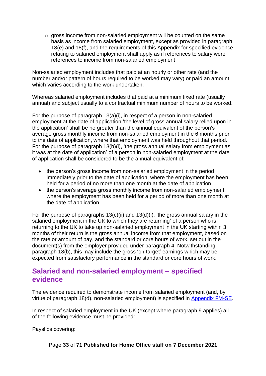o gross income from non-salaried employment will be counted on the same basis as income from salaried employment, except as provided in paragraph 18(e) and 18(f), and the requirements of this Appendix for specified evidence relating to salaried employment shall apply as if references to salary were references to income from non-salaried employment

Non-salaried employment includes that paid at an hourly or other rate (and the number and/or pattern of hours required to be worked may vary) or paid an amount which varies according to the work undertaken.

Whereas salaried employment includes that paid at a minimum fixed rate (usually annual) and subject usually to a contractual minimum number of hours to be worked.

For the purpose of paragraph 13(a)(i), in respect of a person in non-salaried employment at the date of application 'the level of gross annual salary relied upon in the application' shall be no greater than the annual equivalent of the person's average gross monthly income from non-salaried employment in the 6 months prior to the date of application, where that employment was held throughout that period. For the purpose of paragraph 13(b)(i), 'the gross annual salary from employment as it was at the date of application' of a person in non-salaried employment at the date of application shall be considered to be the annual equivalent of:

- the person's gross income from non-salaried employment in the period immediately prior to the date of application, where the employment has been held for a period of no more than one month at the date of application
- the person's average gross monthly income from non-salaried employment, where the employment has been held for a period of more than one month at the date of application

For the purpose of paragraphs  $13(c)(ii)$  and  $13(d)(i)$ , 'the gross annual salary in the salaried employment in the UK to which they are returning' of a person who is returning to the UK to take up non-salaried employment in the UK starting within 3 months of their return is the gross annual income from that employment, based on the rate or amount of pay, and the standard or core hours of work, set out in the document(s) from the employer provided under paragraph 4. Notwithstanding paragraph 18(b), this may include the gross 'on-target' earnings which may be expected from satisfactory performance in the standard or core hours of work.

### <span id="page-32-0"></span>**Salaried and non-salaried employment – specified evidence**

The evidence required to demonstrate income from salaried employment (and, by virtue of paragraph 18(d), non-salaried employment) is specified in [Appendix FM-SE.](http://www.ukba.homeoffice.gov.uk/policyandlaw/immigrationlaw/immigrationrules/appendix-fmse)

In respect of salaried employment in the UK (except where paragraph 9 applies) all of the following evidence must be provided:

Payslips covering:

Page **33** of **71 Published for Home Office staff on 7 December 2021**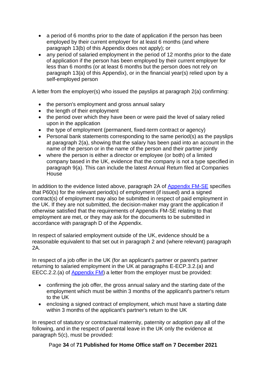- a period of 6 months prior to the date of application if the person has been employed by their current employer for at least 6 months (and where paragraph 13(b) of this Appendix does not apply); or
- any period of salaried employment in the period of 12 months prior to the date of application if the person has been employed by their current employer for less than 6 months (or at least 6 months but the person does not rely on paragraph 13(a) of this Appendix), or in the financial year(s) relied upon by a self-employed person

A letter from the employer(s) who issued the payslips at paragraph 2(a) confirming:

- the person's employment and gross annual salary
- the length of their employment
- the period over which they have been or were paid the level of salary relied upon in the application
- the type of employment (permanent, fixed-term contract or agency)
- Personal bank statements corresponding to the same period(s) as the payslips at paragraph 2(a), showing that the salary has been paid into an account in the name of the person or in the name of the person and their partner jointly
- where the person is either a director or employee (or both) of a limited company based in the UK, evidence that the company is not a type specified in paragraph 9(a). This can include the latest Annual Return filed at Companies House

In addition to the evidence listed above, paragraph 2A of [Appendix FM-SE](https://www.gov.uk/guidance/immigration-rules/immigration-rules-appendix-fm-se-family-members-specified-evidence) specifies that P60(s) for the relevant period(s) of employment (if issued) and a signed contract(s) of employment may also be submitted in respect of paid employment in the UK. If they are not submitted, the decision-maker may grant the application if otherwise satisfied that the requirements of Appendix FM-SE relating to that employment are met, or they may ask for the documents to be submitted in accordance with paragraph D of the Appendix.

In respect of salaried employment outside of the UK, evidence should be a reasonable equivalent to that set out in paragraph 2 and (where relevant) paragraph 2A.

In respect of a job offer in the UK (for an applicant's partner or parent's partner returning to salaried employment in the UK at paragraphs E-ECP.3.2.(a) and EECC.2.2.(a) of [Appendix FM\)](https://www.gov.uk/guidance/immigration-rules/immigration-rules-appendix-fm-family-members) a letter from the employer must be provided:

- confirming the job offer, the gross annual salary and the starting date of the employment which must be within 3 months of the applicant's partner's return to the UK
- enclosing a signed contract of employment, which must have a starting date within 3 months of the applicant's partner's return to the UK

In respect of statutory or contractual maternity, paternity or adoption pay all of the following, and in the respect of parental leave in the UK only the evidence at paragraph 5(c), must be provided:

Page **34** of **71 Published for Home Office staff on 7 December 2021**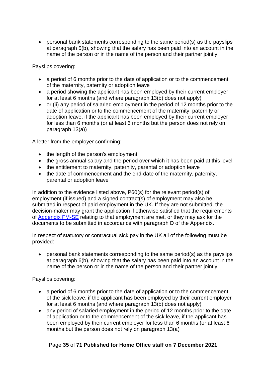• personal bank statements corresponding to the same period(s) as the payslips at paragraph 5(b), showing that the salary has been paid into an account in the name of the person or in the name of the person and their partner jointly

Payslips covering:

- a period of 6 months prior to the date of application or to the commencement of the maternity, paternity or adoption leave
- a period showing the applicant has been employed by their current employer for at least 6 months (and where paragraph 13(b) does not apply)
- or (ii) any period of salaried employment in the period of 12 months prior to the date of application or to the commencement of the maternity, paternity or adoption leave, if the applicant has been employed by their current employer for less than 6 months (or at least 6 months but the person does not rely on paragraph 13(a))

A letter from the employer confirming:

- the length of the person's employment
- the gross annual salary and the period over which it has been paid at this level
- the entitlement to maternity, paternity, parental or adoption leave
- the date of commencement and the end-date of the maternity, paternity, parental or adoption leave

In addition to the evidence listed above, P60(s) for the relevant period(s) of employment (if issued) and a signed contract(s) of employment may also be submitted in respect of paid employment in the UK. If they are not submitted, the decision-maker may grant the application if otherwise satisfied that the requirements of [Appendix FM-SE](https://www.gov.uk/guidance/immigration-rules/immigration-rules-appendix-fm-se-family-members-specified-evidence) relating to that employment are met, or they may ask for the documents to be submitted in accordance with paragraph D of the Appendix.

In respect of statutory or contractual sick pay in the UK all of the following must be provided:

• personal bank statements corresponding to the same period(s) as the payslips at paragraph 6(b), showing that the salary has been paid into an account in the name of the person or in the name of the person and their partner jointly

Payslips covering:

- a period of 6 months prior to the date of application or to the commencement of the sick leave, if the applicant has been employed by their current employer for at least 6 months (and where paragraph 13(b) does not apply)
- any period of salaried employment in the period of 12 months prior to the date of application or to the commencement of the sick leave, if the applicant has been employed by their current employer for less than 6 months (or at least 6 months but the person does not rely on paragraph 13(a)

#### Page **35** of **71 Published for Home Office staff on 7 December 2021**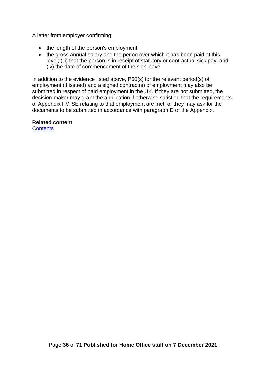A letter from employer confirming:

- the length of the person's employment
- the gross annual salary and the period over which it has been paid at this level; (iii) that the person is in receipt of statutory or contractual sick pay; and (iv) the date of commencement of the sick leave

In addition to the evidence listed above, P60(s) for the relevant period(s) of employment (if issued) and a signed contract(s) of employment may also be submitted in respect of paid employment in the UK. If they are not submitted, the decision-maker may grant the application if otherwise satisfied that the requirements of Appendix FM-SE relating to that employment are met, or they may ask for the documents to be submitted in accordance with paragraph D of the Appendix.

#### **Related content**

**[Contents](#page-1-0)**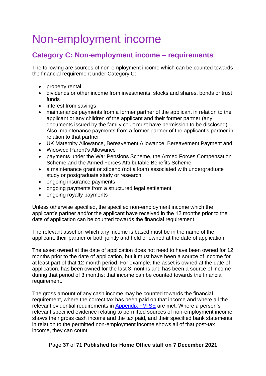# <span id="page-36-0"></span>Non-employment income

## <span id="page-36-1"></span>**Category C: Non-employment income – requirements**

The following are sources of non-employment income which can be counted towards the financial requirement under Category C:

- property rental
- dividends or other income from investments, stocks and shares, bonds or trust funds
- interest from savings
- maintenance payments from a former partner of the applicant in relation to the applicant or any children of the applicant and their former partner (any documents issued by the family court must have permission to be disclosed). Also, maintenance payments from a former partner of the applicant's partner in relation to that partner
- UK Maternity Allowance, Bereavement Allowance, Bereavement Payment and
- Widowed Parent's Allowance
- payments under the War Pensions Scheme, the Armed Forces Compensation Scheme and the Armed Forces Attributable Benefits Scheme
- a maintenance grant or stipend (not a loan) associated with undergraduate study or postgraduate study or research
- ongoing insurance payments
- ongoing payments from a structured legal settlement
- ongoing royalty payments

Unless otherwise specified, the specified non-employment income which the applicant's partner and/or the applicant have received in the 12 months prior to the date of application can be counted towards the financial requirement.

The relevant asset on which any income is based must be in the name of the applicant, their partner or both jointly and held or owned at the date of application.

The asset owned at the date of application does not need to have been owned for 12 months prior to the date of application, but it must have been a source of income for at least part of that 12-month period. For example, the asset is owned at the date of application, has been owned for the last 3 months and has been a source of income during that period of 3 months: that income can be counted towards the financial requirement.

The gross amount of any cash income may be counted towards the financial requirement, where the correct tax has been paid on that income and where all the relevant evidential requirements in [Appendix FM-SE](https://www.gov.uk/guidance/immigration-rules/immigration-rules-appendix-fm-se-family-members-specified-evidence) are met. Where a person's relevant specified evidence relating to permitted sources of non-employment income shows their gross cash income and the tax paid, and their specified bank statements in relation to the permitted non-employment income shows all of that post-tax income, they can count

Page **37** of **71 Published for Home Office staff on 7 December 2021**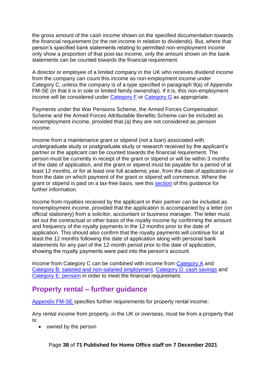the gross amount of the cash income shown on the specified documentation towards the financial requirement (or the net income in relation to dividends). But, where that person's specified bank statements relating to permitted non-employment income only show a proportion of that post-tax income, only the amount shown on the bank statements can be counted towards the financial requirement.

A director or employee of a limited company in the UK who receives dividend income from the company can count this income as non-employment income under Category C, unless the company is of a type specified in paragraph 9(a) of Appendix FM-SE (in that it is in sole or limited family ownership). If it is, this non-employment income will be considered under [Category F](#page-54-1) or [Category G](#page-54-2) as appropriate.

Payments under the War Pensions Scheme, the Armed Forces Compensation Scheme and the Armed Forces Attributable Benefits Scheme can be included as nonemployment income, provided that (a) they are not considered as pension income.

Income from a maintenance grant or stipend (not a loan) associated with undergraduate study or postgraduate study or research received by the applicant's partner or the applicant can be counted towards the financial requirement. The person must be currently in receipt of the grant or stipend or will be within 3 months of the date of application, and the grant or stipend must be payable for a period of at least 12 months, or for at least one full academic year, from the date of application or from the date on which payment of the grant or stipend will commence. Where the grant or stipend is paid on a tax-free basis, see this [section](#page-39-0) of this guidance for further information.

Income from royalties received by the applicant or their partner can be included as nonemployment income, provided that the application is accompanied by a letter (on official stationery) from a solicitor, accountant or business manager. The letter must set out the contractual or other basis of the royalty income by confirming the amount and frequency of the royalty payments in the 12 months prior to the date of application. This should also confirm that the royalty payments will continue for at least the 12 months following the date of application along with personal bank statements for any part of the 12-month period prior to the date of application, showing the royalty payments were paid into the person's account.

Income from Category C can be combined with income from [Category A](#page-18-1) and [Category B: salaried and non-salaried employment,](#page-22-0) [Category D: cash savings](#page-42-0) and [Category E:](#page-52-1) pension in order to meet the financial requirement.

## <span id="page-37-0"></span>**Property rental – further guidance**

[Appendix FM-SE](https://www.gov.uk/guidance/immigration-rules/immigration-rules-appendix-fm-se-family-members-specified-evidence) specifies further requirements for property rental income:

Any rental income from property, in the UK or overseas, must be from a property that is:

• owned by the person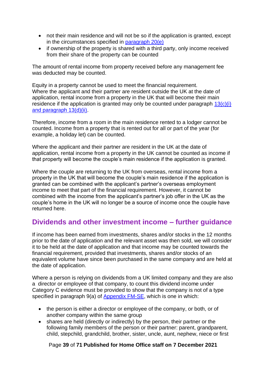- not their main residence and will not be so if the application is granted, except in the circumstances specified in [paragraph 20\(e\)](https://www.gov.uk/guidance/immigration-rules/immigration-rules-appendix-fm-se-family-members-specified-evidence)
- if ownership of the property is shared with a third party, only income received from their share of the property can be counted

The amount of rental income from property received before any management fee was deducted may be counted.

Equity in a property cannot be used to meet the financial requirement. Where the applicant and their partner are resident outside the UK at the date of application, rental income from a property in the UK that will become their main residence if the application is granted may only be counted under paragraph  $13(c)(i)$ [and paragraph 13\(d\)\(ii\).](https://www.gov.uk/guidance/immigration-rules/immigration-rules-appendix-fm-se-family-members-specified-evidence)

Therefore, income from a room in the main residence rented to a lodger cannot be counted. Income from a property that is rented out for all or part of the year (for example, a holiday let) can be counted.

Where the applicant and their partner are resident in the UK at the date of application, rental income from a property in the UK cannot be counted as income if that property will become the couple's main residence if the application is granted.

Where the couple are returning to the UK from overseas, rental income from a property in the UK that will become the couple's main residence if the application is granted can be combined with the applicant's partner's overseas employment income to meet that part of the financial requirement. However, it cannot be combined with the income from the applicant's partner's job offer in the UK as the couple's home in the UK will no longer be a source of income once the couple have returned here.

## <span id="page-38-0"></span>**Dividends and other investment income – further guidance**

If income has been earned from investments, shares and/or stocks in the 12 months prior to the date of application and the relevant asset was then sold, we will consider it to be held at the date of application and that income may be counted towards the financial requirement, provided that investments, shares and/or stocks of an equivalent volume have since been purchased in the same company and are held at the date of application.

Where a person is relying on dividends from a UK limited company and they are also a director or employee of that company, to count this dividend income under Category C evidence must be provided to show that the company is not of a type specified in paragraph 9(a) of [Appendix FM-SE,](https://www.gov.uk/guidance/immigration-rules/immigration-rules-appendix-fm-se-family-members-specified-evidence) which is one in which:

- the person is either a director or employee of the company, or both, or of another company within the same group
- shares are held (directly or indirectly) by the person, their partner or the following family members of the person or their partner: parent, grandparent, child, stepchild, grandchild, brother, sister, uncle, aunt, nephew, niece or first

Page **39** of **71 Published for Home Office staff on 7 December 2021**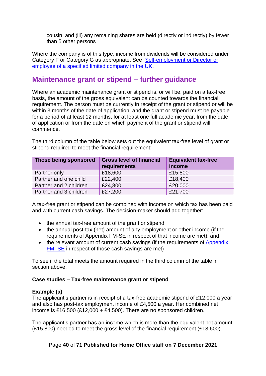cousin; and (iii) any remaining shares are held (directly or indirectly) by fewer than 5 other persons

Where the company is of this type, income from dividends will be considered under Category F or Category G as appropriate. See: [Self-employment or Director or](#page-53-0)  [employee of a specified limited company in the UK.](#page-53-0)

## <span id="page-39-0"></span>**Maintenance grant or stipend – further guidance**

Where an academic maintenance grant or stipend is, or will be, paid on a tax-free basis, the amount of the gross equivalent can be counted towards the financial requirement. The person must be currently in receipt of the grant or stipend or will be within 3 months of the date of application, and the grant or stipend must be payable for a period of at least 12 months, for at least one full academic year, from the date of application or from the date on which payment of the grant or stipend will commence.

The third column of the table below sets out the equivalent tax-free level of grant or stipend required to meet the financial requirement:

| Those being sponsored  | <b>Gross level of financial</b><br>requirements | <b>Equivalent tax-free</b><br>income |
|------------------------|-------------------------------------------------|--------------------------------------|
| Partner only           | £18,600                                         | £15,800                              |
| Partner and one child  | £22,400                                         | £18,400                              |
| Partner and 2 children | £24,800                                         | £20,000                              |
| Partner and 3 children | £27,200                                         | £21,700                              |

A tax-free grant or stipend can be combined with income on which tax has been paid and with current cash savings. The decision-maker should add together:

- the annual tax-free amount of the grant or stipend
- the annual post-tax (net) amount of any employment or other income (if the requirements of Appendix FM-SE in respect of that income are met); and
- the relevant amount of current cash savings (if the requirements of Appendix [FM-](https://www.gov.uk/guidance/immigration-rules/immigration-rules-appendix-fm-se-family-members-specified-evidence) SE in respect of those cash savings are met)

To see if the total meets the amount required in the third column of the table in section above.

#### **Case studies – Tax-free maintenance grant or stipend**

#### **Example (a)**

The applicant's partner is in receipt of a tax-free academic stipend of £12,000 a year and also has post-tax employment income of £4,500 a year. Her combined net income is £16,500 (£12,000 + £4,500). There are no sponsored children.

The applicant's partner has an income which is more than the equivalent net amount (£15,800) needed to meet the gross level of the financial requirement (£18,600).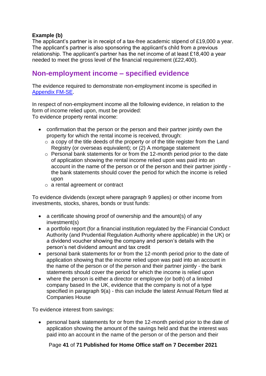#### **Example (b)**

The applicant's partner is in receipt of a tax-free academic stipend of £19,000 a year. The applicant's partner is also sponsoring the applicant's child from a previous relationship. The applicant's partner has the net income of at least £18,400 a year needed to meet the gross level of the financial requirement (£22,400).

### <span id="page-40-0"></span>**Non-employment income – specified evidence**

The evidence required to demonstrate non-employment income is specified in [Appendix](https://www.gov.uk/guidance/immigration-rules/immigration-rules-appendix-fm-se-family-members-specified-evidence) [FM-SE.](https://www.gov.uk/guidance/immigration-rules/immigration-rules-appendix-fm-se-family-members-specified-evidence)

In respect of non-employment income all the following evidence, in relation to the form of income relied upon, must be provided: To evidence property rental income:

- confirmation that the person or the person and their partner jointly own the property for which the rental income is received, through:
	- $\circ$  a copy of the title deeds of the property or of the title register from the Land Registry (or overseas equivalent); or (2) A mortgage statement
	- o Personal bank statements for or from the 12-month period prior to the date of application showing the rental income relied upon was paid into an account in the name of the person or of the person and their partner jointly the bank statements should cover the period for which the income is relied upon
	- o a rental agreement or contract

To evidence dividends (except where paragraph 9 applies) or other income from investments, stocks, shares, bonds or trust funds:

- a certificate showing proof of ownership and the amount(s) of any investment(s)
- a portfolio report (for a financial institution regulated by the Financial Conduct Authority (and Prudential Regulation Authority where applicable) in the UK) or a dividend voucher showing the company and person's details with the person's net dividend amount and tax credit
- personal bank statements for or from the 12-month period prior to the date of application showing that the income relied upon was paid into an account in the name of the person or of the person and their partner jointly - the bank statements should cover the period for which the income is relied upon
- where the person is either a director or employee (or both) of a limited company based In the UK, evidence that the company is not of a type specified in paragraph 9(a) - this can include the latest Annual Return filed at Companies House

To evidence interest from savings:

• personal bank statements for or from the 12-month period prior to the date of application showing the amount of the savings held and that the interest was paid into an account in the name of the person or of the person and their

Page **41** of **71 Published for Home Office staff on 7 December 2021**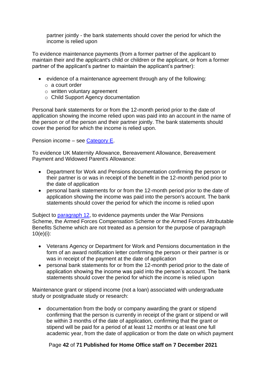partner jointly - the bank statements should cover the period for which the income is relied upon

To evidence maintenance payments (from a former partner of the applicant to maintain their and the applicant's child or children or the applicant, or from a former partner of the applicant's partner to maintain the applicant's partner):

- evidence of a maintenance agreement through any of the following:
	- o a court order
	- o written voluntary agreement
	- o Child Support Agency documentation

Personal bank statements for or from the 12-month period prior to the date of application showing the income relied upon was paid into an account in the name of the person or of the person and their partner jointly. The bank statements should cover the period for which the income is relied upon.

Pension income – see [Category E.](#page-52-1)

To evidence UK Maternity Allowance, Bereavement Allowance, Bereavement Payment and Widowed Parent's Allowance:

- Department for Work and Pensions documentation confirming the person or their partner is or was in receipt of the benefit in the 12-month period prior to the date of application
- personal bank statements for or from the 12-month period prior to the date of application showing the income was paid into the person's account. The bank statements should cover the period for which the income is relied upon

Subject to [paragraph 12,](https://www.gov.uk/guidance/immigration-rules/immigration-rules-appendix-fm-se-family-members-specified-evidence) to evidence payments under the War Pensions Scheme, the Armed Forces Compensation Scheme or the Armed Forces Attributable Benefits Scheme which are not treated as a pension for the purpose of paragraph 10(e)(i):

- Veterans Agency or Department for Work and Pensions documentation in the form of an award notification letter confirming the person or their partner is or was in receipt of the payment at the date of application
- personal bank statements for or from the 12-month period prior to the date of application showing the income was paid into the person's account. The bank statements should cover the period for which the income is relied upon

Maintenance grant or stipend income (not a loan) associated with undergraduate study or postgraduate study or research:

• documentation from the body or company awarding the grant or stipend confirming that the person is currently in receipt of the grant or stipend or will be within 3 months of the date of application, confirming that the grant or stipend will be paid for a period of at least 12 months or at least one full academic year, from the date of application or from the date on which payment

#### Page **42** of **71 Published for Home Office staff on 7 December 2021**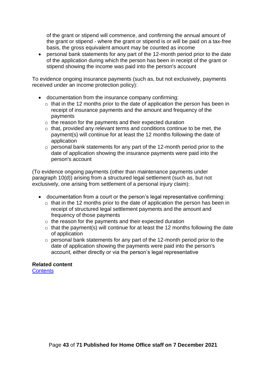of the grant or stipend will commence, and confirming the annual amount of the grant or stipend - where the grant or stipend is or will be paid on a tax-free basis, the gross equivalent amount may be counted as income

• personal bank statements for any part of the 12-month period prior to the date of the application during which the person has been in receipt of the grant or stipend showing the income was paid into the person's account

To evidence ongoing insurance payments (such as, but not exclusively, payments received under an income protection policy):

- documentation from the insurance company confirming:
	- $\circ$  that in the 12 months prior to the date of application the person has been in receipt of insurance payments and the amount and frequency of the payments
	- o the reason for the payments and their expected duration
	- $\circ$  that, provided any relevant terms and conditions continue to be met, the payment(s) will continue for at least the 12 months following the date of application
	- o personal bank statements for any part of the 12-month period prior to the date of application showing the insurance payments were paid into the person's account

(To evidence ongoing payments (other than maintenance payments under paragraph 10(d)) arising from a structured legal settlement (such as, but not exclusively, one arising from settlement of a personal injury claim):

- documentation from a court or the person's legal representative confirming:
	- $\circ$  that in the 12 months prior to the date of application the person has been in receipt of structured legal settlement payments and the amount and frequency of those payments
	- $\circ$  the reason for the payments and their expected duration
	- $\circ$  that the payment(s) will continue for at least the 12 months following the date of application
	- o personal bank statements for any part of the 12-month period prior to the date of application showing the payments were paid into the person's account, either directly or via the person's legal representative

#### **Related content**

<span id="page-42-0"></span>**[Contents](#page-1-0)**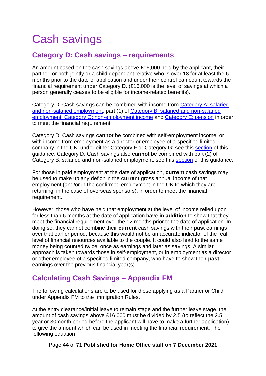# <span id="page-43-0"></span>Cash savings

## <span id="page-43-1"></span>**Category D: Cash savings – requirements**

An amount based on the cash savings above £16,000 held by the applicant, their partner, or both jointly or a child dependant relative who is over 18 for at least the 6 months prior to the date of application and under their control can count towards the financial requirement under Category D. (£16,000 is the level of savings at which a person generally ceases to be eligible for income-related benefits).

Category D: Cash savings can be combined with income from Category A: salaried and non-salaried employment, part (1) of Category B: salaried and non-salaried employment, Category C: non-employment income and Category E: pension in order to meet the financial requirement.

Category D: Cash savings **cannot** be combined with self-employment income, or with income from employment as a director or employee of a specified limited company in the UK, under either Category F or Category G: see this [section](#page-54-1) of this guidance. Category D: Cash savings also **cannot** be combined with part (2) of Category B: salaried and non-salaried employment: see this [section](#page-22-0) of this guidance.

For those in paid employment at the date of application, **current** cash savings may be used to make up any deficit in the **current** gross annual income of that employment (and/or in the confirmed employment in the UK to which they are returning, in the case of overseas sponsors), in order to meet the financial requirement.

However, those who have held that employment at the level of income relied upon for less than 6 months at the date of application have **in addition** to show that they meet the financial requirement over the 12 months prior to the date of application. In doing so, they cannot combine their **current** cash savings with their **past** earnings over that earlier period, because this would not be an accurate indicator of the real level of financial resources available to the couple. It could also lead to the same money being counted twice, once as earnings and later as savings. A similar approach is taken towards those in self-employment, or in employment as a director or other employee of a specified limited company, who have to show their **past**  earnings over the previous financial year(s).

# <span id="page-43-2"></span>**Calculating Cash Savings – Appendix FM**

The following calculations are to be used for those applying as a Partner or Child under Appendix FM to the Immigration Rules.

At the entry clearance/initial leave to remain stage and the further leave stage, the amount of cash savings above £16,000 must be divided by 2.5 (to reflect the 2.5 year or 30month period before the applicant will have to make a further application) to give the amount which can be used in meeting the financial requirement. The following equation

Page **44** of **71 Published for Home Office staff on 7 December 2021**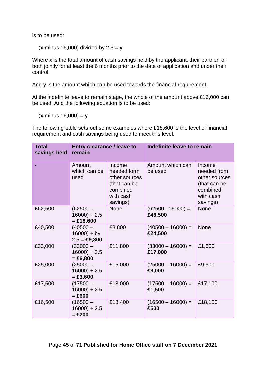is to be used:

(**x** minus 16,000) divided by 2.5 = **y**

Where x is the total amount of cash savings held by the applicant, their partner, or both jointly for at least the 6 months prior to the date of application and under their control.

And **y** is the amount which can be used towards the financial requirement.

At the indefinite leave to remain stage, the whole of the amount above £16,000 can be used. And the following equation is to be used:

(**x** minus 16,000) = **y**

The following table sets out some examples where £18,600 is the level of financial requirement and cash savings being used to meet this level.

| <b>Total</b><br>savings held | <b>Entry clearance / leave to</b><br>remain    |                                                                                             | Indefinite leave to remain     |                                                                                             |
|------------------------------|------------------------------------------------|---------------------------------------------------------------------------------------------|--------------------------------|---------------------------------------------------------------------------------------------|
|                              | Amount<br>which can be<br>used                 | Income<br>needed form<br>other sources<br>(that can be<br>combined<br>with cash<br>savings) | Amount which can<br>be used    | Income<br>needed from<br>other sources<br>(that can be<br>combined<br>with cash<br>savings) |
| £62,500                      | $(62500 -$<br>$16000$ ÷ 2.5<br>$=$ £18,600     | <b>None</b>                                                                                 | $(62500 - 16000) =$<br>£46,500 | <b>None</b>                                                                                 |
| £40,500                      | $(40500 -$<br>$16000$ ) ÷ by<br>$2.5 = £9,800$ | £8,800                                                                                      | $(40500 - 16000) =$<br>£24,500 | <b>None</b>                                                                                 |
| £33,000                      | $(33000 -$<br>$16000$ ÷ 2.5<br>$= £6,800$      | £11,800                                                                                     | $(33000 - 16000) =$<br>£17,000 | £1,600                                                                                      |
| £25,000                      | $(25000 -$<br>$16000$ ÷ 2.5<br>$= £3,600$      | £15,000                                                                                     | $(25000 - 16000) =$<br>£9,000  | £9,600                                                                                      |
| £17,500                      | $(17500 -$<br>$16000$ ÷ 2.5<br>$=$ £600        | £18,000                                                                                     | $(17500 - 16000) =$<br>£1,500  | £17,100                                                                                     |
| £16,500                      | $(16500 -$<br>$16000$ ÷ 2.5<br>$=$ £200        | £18,400                                                                                     | $(16500 - 16000) =$<br>£500    | £18,100                                                                                     |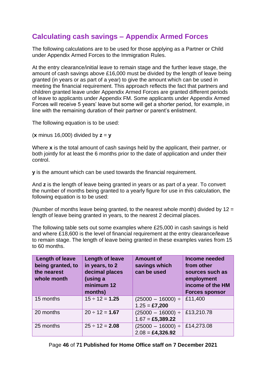# <span id="page-45-0"></span>**Calculating cash savings – Appendix Armed Forces**

The following calculations are to be used for those applying as a Partner or Child under Appendix Armed Forces to the Immigration Rules.

At the entry clearance/initial leave to remain stage and the further leave stage, the amount of cash savings above £16,000 must be divided by the length of leave being granted (in years or as part of a year) to give the amount which can be used in meeting the financial requirement. This approach reflects the fact that partners and children granted leave under Appendix Armed Forces are granted different periods of leave to applicants under Appendix FM. Some applicants under Appendix Armed Forces will receive 5 years' leave but some will get a shorter period, for example, in line with the remaining duration of their partner or parent's enlistment.

The following equation is to be used:

(**x** minus 16,000) divided by **z** = **y**

Where **x** is the total amount of cash savings held by the applicant, their partner, or both jointly for at least the 6 months prior to the date of application and under their control.

**y** is the amount which can be used towards the financial requirement.

And **z** is the length of leave being granted in years or as part of a year. To convert the number of months being granted to a yearly figure for use in this calculation, the following equation is to be used:

(Number of months leave being granted, to the nearest whole month) divided by  $12 =$ length of leave being granted in years, to the nearest 2 decimal places.

The following table sets out some examples where £25,000 in cash savings is held and where £18,600 is the level of financial requirement at the entry clearance/leave to remain stage. The length of leave being granted in these examples varies from 15 to 60 months.

<span id="page-45-1"></span>

| Length of leave<br>being granted, to<br>the nearest<br>whole month | <b>Length of leave</b><br>in years, to 2<br>decimal places<br>(using a<br>minimum 12<br>months) | <b>Amount of</b><br>savings which<br>can be used                | Income needed<br>from other<br>sources such as<br>employment<br>income of the HM<br><b>Forces sponsor</b> |
|--------------------------------------------------------------------|-------------------------------------------------------------------------------------------------|-----------------------------------------------------------------|-----------------------------------------------------------------------------------------------------------|
| 15 months                                                          | $15 \div 12 = 1.25$                                                                             | $(25000 - 16000) \div$<br>$1.25 = £7,200$                       | £11,400                                                                                                   |
| 20 months                                                          | $20 \div 12 = 1.67$                                                                             | $(25000 - 16000) \div$<br>$1.67 = \pounds5,389.22$              | £13,210.78                                                                                                |
| 25 months                                                          | $25 \div 12 = 2.08$                                                                             | $(25000 - 16000) \div$<br>$2.08 = \text{\textsterling}4,326.92$ | £14,273.08                                                                                                |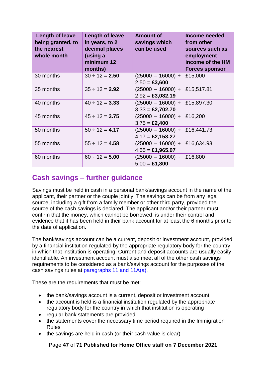| <b>Length of leave</b><br>being granted, to<br>the nearest<br>whole month | <b>Length of leave</b><br>in years, to 2<br>decimal places<br>(using a<br>minimum 12<br>months) | <b>Amount of</b><br>savings which<br>can be used                | Income needed<br>from other<br>sources such as<br>employment<br>income of the HM<br><b>Forces sponsor</b> |
|---------------------------------------------------------------------------|-------------------------------------------------------------------------------------------------|-----------------------------------------------------------------|-----------------------------------------------------------------------------------------------------------|
| 30 months                                                                 | $30 \div 12 = 2.50$                                                                             | $(25000 - 16000) \div$<br>$2.50 = \pounds3,600$                 | £15,000                                                                                                   |
| 35 months                                                                 | $35 \div 12 = 2.92$                                                                             | $(25000 - 16000) \div$<br>$2.92 = \text{\textsterling}3,082.19$ | £15,517.81                                                                                                |
| 40 months                                                                 | $40 \div 12 = 3.33$                                                                             | $(25000 - 16000) \div$<br>$3.33 = \pounds2,702.70$              | £15,897.30                                                                                                |
| 45 months                                                                 | $45 \div 12 = 3.75$                                                                             | $(25000 - 16000) \div$<br>$3.75 = \pounds2,400$                 | £16,200                                                                                                   |
| 50 months                                                                 | $50 \div 12 = 4.17$                                                                             | $(25000 - 16000) \div$<br>$4.17 = \pounds2,158.27$              | £16,441.73                                                                                                |
| 55 months                                                                 | $55 \div 12 = 4.58$                                                                             | $(25000 - 16000) \div$<br>$4.55 = \pounds1,965.07$              | £16,634.93                                                                                                |
| 60 months                                                                 | $60 \div 12 = 5.00$                                                                             | $(25000 - 16000) \div$<br>$5.00 = £1,800$                       | £16,800                                                                                                   |

# <span id="page-46-0"></span>**Cash savings – further guidance**

Savings must be held in cash in a personal bank/savings account in the name of the applicant, their partner or the couple jointly. The savings can be from any legal source, including a gift from a family member or other third party, provided the source of the cash savings is declared. The applicant and/or their partner must confirm that the money, which cannot be borrowed, is under their control and evidence that it has been held in their bank account for at least the 6 months prior to the date of application.

The bank/savings account can be a current, deposit or investment account, provided by a financial institution regulated by the appropriate regulatory body for the country in which that institution is operating. Current and deposit accounts are usually easily identifiable. An investment account must also meet all of the other cash savings requirements to be considered as a bank/savings account for the purposes of the cash savings rules at [paragraphs 11 and 11A\(a\).](https://www.gov.uk/guidance/immigration-rules/immigration-rules-appendix-fm-se-family-members-specified-evidence)

These are the requirements that must be met:

- the bank/savings account is a current, deposit or investment account
- the account is held is a financial institution regulated by the appropriate regulatory body for the country in which that institution is operating
- regular bank statements are provided
- the statements cover the necessary time period required in the Immigration Rules
- the savings are held in cash (or their cash value is clear)

Page **47** of **71 Published for Home Office staff on 7 December 2021**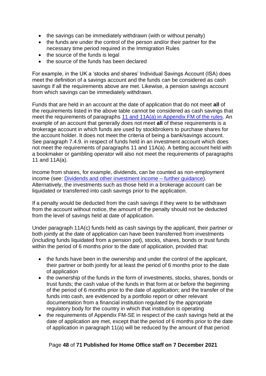- the savings can be immediately withdrawn (with or without penalty)
- the funds are under the control of the person and/or their partner for the necessary time period required in the Immigration Rules
- the source of the funds is legal
- the source of the funds has been declared

For example, in the UK a 'stocks and shares' Individual Savings Account (ISA) does meet the definition of a savings account and the funds can be considered as cash savings if all the requirements above are met. Likewise, a pension savings account from which savings can be immediately withdrawn.

Funds that are held in an account at the date of application that do not meet **all** of the requirements listed in the above table cannot be considered as cash savings that meet the requirements of paragraphs [11 and 11A\(a\) in Appendix FM of the rules.](https://www.gov.uk/guidance/immigration-rules/immigration-rules-appendix-fm-se-family-members-specified-evidence) An example of an account that generally does not meet **all** of these requirements is a brokerage account in which funds are used by stockbrokers to purchase shares for the account holder. It does not meet the criteria of being a bank/savings account. See paragraph 7.4.9. in respect of funds held in an investment account which does not meet the requirements of paragraphs 11 and 11A(a). A betting account held with a bookmaker or gambling operator will also not meet the requirements of paragraphs 11 and 11A(a).

Income from shares, for example, dividends, can be counted as non-employment income (see: [Dividends and other investment income –](#page-38-0) further guidance). Alternatively, the investments such as those held in a brokerage account can be liquidated or transferred into cash savings prior to the application.

If a penalty would be deducted from the cash savings if they were to be withdrawn from the account without notice, the amount of the penalty should not be deducted from the level of savings held at date of application.

Under paragraph 11A(c) funds held as cash savings by the applicant, their partner or both jointly at the date of application can have been transferred from investments (including funds liquidated from a pension pot), stocks, shares, bonds or trust funds within the period of 6 months prior to the date of application, provided that:

- the funds have been in the ownership and under the control of the applicant, their partner or both jointly for at least the period of 6 months prior to the date of application
- the ownership of the funds in the form of investments, stocks, shares, bonds or trust funds; the cash value of the funds in that form at or before the beginning of the period of 6 months prior to the date of application; and the transfer of the funds into cash, are evidenced by a portfolio report or other relevant documentation from a financial institution regulated by the appropriate regulatory body for the country in which that institution is operating
- the requirements of Appendix FM-SE in respect of the cash savings held at the date of application are met, except that the period of 6 months prior to the date of application in paragraph 11(a) will be reduced by the amount of that period

#### Page **48** of **71 Published for Home Office staff on 7 December 2021**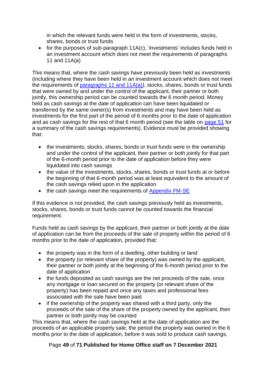in which the relevant funds were held in the form of investments, stocks, shares, bonds or trust funds

• for the purposes of sub-paragraph 11A(c), 'investments' includes funds held in an investment account which does not meet the requirements of paragraphs 11 and 11A(a)

This means that, where the cash savings have previously been held as investments (including where they have been held in an investment account which does not meet the requirements of [paragraphs 11 and 11A\(a\)\)](https://www.gov.uk/guidance/immigration-rules/immigration-rules-appendix-fm-se-family-members-specified-evidence), stocks, shares, bonds or trust funds that were owned by and under the control of the applicant, their partner or both jointly, this ownership period can be counted towards the 6 month period. Money held as cash savings at the date of application can have been liquidated or transferred by the same owner(s) from investments and may have been held as investments for the first part of the period of 6 months prior to the date of application and as cash savings for the rest of that 6 month period (see the table on page 51 for a summary of the cash savings requirements). Evidence must be provided showing that:

- the investments, stocks, shares, bonds or trust funds were in the ownership and under the control of the applicant, their partner or both jointly for that part of the 6-month period prior to the date of application before they were liquidated into cash savings
- the value of the investments, stocks, shares, bonds or trust funds at or before the beginning of that 6-month period was at least equivalent to the amount of the cash savings relied upon in the application
- the cash savings meet the requirements of Appendix FM-SE

If this evidence is not provided, the cash savings previously held as investments, stocks, shares, bonds or trust funds cannot be counted towards the financial requirement.

Funds held as cash savings by the applicant, their partner or both jointly at the date of application can be from the proceeds of the sale of property within the period of 6 months prior to the date of application, provided that:

- the property was in the form of a dwelling, other building or land
- the property (or relevant share of the property) was owned by the applicant, their partner or both jointly at the beginning of the 6-month period prior to the date of application
- the funds deposited as cash savings are the net proceeds of the sale, once any mortgage or loan secured on the property (or relevant share of the property) has been repaid and once any taxes and professional fees associated with the sale have been paid
- if the ownership of the property was shared with a third party, only the proceeds of the sale of the share of the property owned by the applicant, their partner or both jointly may be counted

This means that, where the cash savings held at the date of application are the proceeds of an applicable property sale; the period the property was owned in the 6 months prior to the date of application, before it was sold to produce cash savings,

#### Page **49** of **71 Published for Home Office staff on 7 December 2021**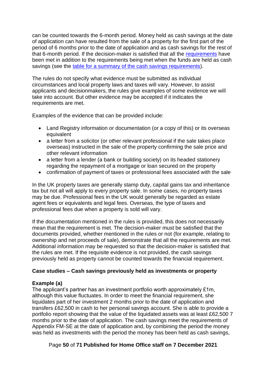can be counted towards the 6-month period. Money held as cash savings at the date of application can have resulted from the sale of a property for the first part of the period of 6 months prior to the date of application and as cash savings for the rest of that 6-month period. If the decision-maker is satisfied that all the [requirements](#page-42-0) have been met in addition to the requirements being met when the funds are held as cash savings (see the [table for a summary of the cash savings requirements\)](#page-45-1).

The rules do not specify what evidence must be submitted as individual circumstances and local property laws and taxes will vary. However, to assist applicants and decisionmakers, the rules give examples of some evidence we will take into account. But other evidence may be accepted if it indicates the requirements are met.

Examples of the evidence that can be provided include:

- Land Registry information or documentation (or a copy of this) or its overseas equivalent
- a letter from a solicitor (or other relevant professional if the sale takes place overseas) instructed in the sale of the property confirming the sale price and other relevant information
- a letter from a lender (a bank or building society) on its headed stationery regarding the repayment of a mortgage or loan secured on the property
- confirmation of payment of taxes or professional fees associated with the sale

In the UK property taxes are generally stamp duty, capital gains tax and inheritance tax but not all will apply to every property sale. In some cases, no property taxes may be due. Professional fees in the UK would generally be regarded as estate agent fees or equivalents and legal fees. Overseas, the type of taxes and professional fees due when a property is sold will vary.

If the documentation mentioned in the rules is provided, this does not necessarily mean that the requirement is met. The decision-maker must be satisfied that the documents provided, whether mentioned in the rules or not (for example, relating to ownership and net proceeds of sale), demonstrate that all the requirements are met. Additional information may be requested so that the decision-maker is satisfied that the rules are met. If the requisite evidence is not provided, the cash savings previously held as property cannot be counted towards the financial requirement.

#### **Case studies – Cash savings previously held as investments or property**

#### **Example (a)**

The applicant's partner has an investment portfolio worth approximately £1m, although this value fluctuates. In order to meet the financial requirement, she liquidates part of her investment 2 months prior to the date of application and transfers £62,500 in cash to her personal savings account. She is able to provide a portfolio report showing that the value of the liquidated assets was at least £62,500 7 months prior to the date of application. The cash savings meet the requirements of Appendix FM-SE at the date of application and, by combining the period the money was held as investments with the period the money has been held as cash savings,

#### Page **50** of **71 Published for Home Office staff on 7 December 2021**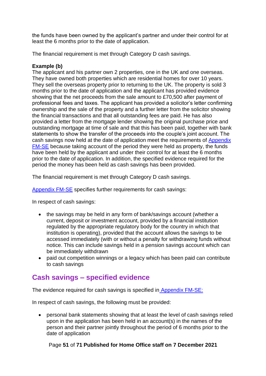the funds have been owned by the applicant's partner and under their control for at least the 6 months prior to the date of application.

The financial requirement is met through Category D cash savings.

#### **Example (b)**

The applicant and his partner own 2 properties, one in the UK and one overseas. They have owned both properties which are residential homes for over 10 years. They sell the overseas property prior to returning to the UK. The property is sold 3 months prior to the date of application and the applicant has provided evidence showing that the net proceeds from the sale amount to £70,500 after payment of professional fees and taxes. The applicant has provided a solicitor's letter confirming ownership and the sale of the property and a further letter from the solicitor showing the financial transactions and that all outstanding fees are paid. He has also provided a letter from the mortgage lender showing the original purchase price and outstanding mortgage at time of sale and that this has been paid, together with bank statements to show the transfer of the proceeds into the couple's joint account. The cash savings now held at the date of application meet the requirements of [Appendix](https://www.gov.uk/guidance/immigration-rules/immigration-rules-appendix-fm-se-family-members-specified-evidence)  [FM-SE](https://www.gov.uk/guidance/immigration-rules/immigration-rules-appendix-fm-se-family-members-specified-evidence) because taking account of the period they were held as property, the funds have been held by the applicant and under their control for at least the 6 months prior to the date of application. In addition, the specified evidence required for the period the money has been held as cash savings has been provided.

The financial requirement is met through Category D cash savings.

[Appendix FM-SE](https://www.gov.uk/guidance/immigration-rules/immigration-rules-appendix-fm-se-family-members-specified-evidence) specifies further requirements for cash savings:

In respect of cash savings:

- the savings may be held in any form of bank/savings account (whether a current, deposit or investment account, provided by a financial institution regulated by the appropriate regulatory body for the country in which that institution is operating), provided that the account allows the savings to be accessed immediately (with or without a penalty for withdrawing funds without notice. This can include savings held in a pension savings account which can be immediately withdrawn
- paid out competition winnings or a legacy which has been paid can contribute to cash savings

### <span id="page-50-0"></span>**Cash savings – specified evidence**

The evidence required for cash savings is specified i[n](https://www.gov.uk/guidance/immigration-rules/immigration-rules-appendix-fm-se-family-members-specified-evidence) [Appendix FM-SE:](https://www.gov.uk/guidance/immigration-rules/immigration-rules-appendix-fm-se-family-members-specified-evidence)

In respect of cash savings, the following must be provided:

• personal bank statements showing that at least the level of cash savings relied upon in the application has been held in an account(s) in the names of the person and their partner jointly throughout the period of 6 months prior to the date of application

Page **51** of **71 Published for Home Office staff on 7 December 2021**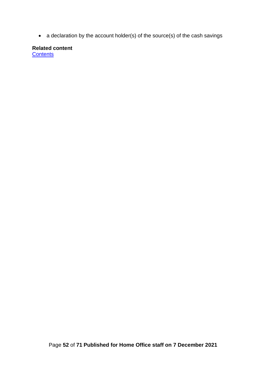• a declaration by the account holder(s) of the source(s) of the cash savings

**Related content [Contents](#page-1-0)**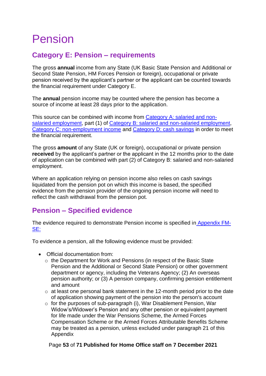# <span id="page-52-0"></span>Pension

# <span id="page-52-1"></span>**Category E: Pension – requirements**

The gross **annual** income from any State (UK Basic State Pension and Additional or Second State Pension, HM Forces Pension or foreign), occupational or private pension received by the applicant's partner or the applicant can be counted towards the financial requirement under Category E.

The **annual** pension income may be counted where the pension has become a source of income at least 28 days prior to the application.

This source can be combined with income from Category A: salaried and nonsalaried employment, part (1) of [Category B: salaried and non-salaried employment,](#page-22-0) [Category C: non-employment](#page-36-1) income and [Category D: cash savings](#page-42-0) in order to meet the financial requirement.

The gross **amount** of any State (UK or foreign), occupational or private pension **received** by the applicant's partner or the applicant in the 12 months prior to the date of application can be combined with part (2) of Category B: salaried and non-salaried employment.

Where an application relying on pension income also relies on cash savings liquidated from the pension pot on which this income is based, the specified evidence from the pension provider of the ongoing pension income will need to reflect the cash withdrawal from the pension pot.

## <span id="page-52-2"></span>**Pension – Specified evidence**

The evidence required to demonstrate Pension income is specified i[n](https://www.gov.uk/guidance/immigration-rules/immigration-rules-appendix-fm-se-family-members-specified-evidence) [Appendix FM-](https://www.gov.uk/guidance/immigration-rules/immigration-rules-appendix-fm-se-family-members-specified-evidence)[SE:](https://www.gov.uk/guidance/immigration-rules/immigration-rules-appendix-fm-se-family-members-specified-evidence)

To evidence a pension, all the following evidence must be provided:

- Official documentation from:
	- o the Department for Work and Pensions (in respect of the Basic State Pension and the Additional or Second State Pension) or other government department or agency, including the Veterans Agency; (2) An overseas pension authority; or (3) A pension company, confirming pension entitlement and amount
	- o at least one personal bank statement in the 12-month period prior to the date of application showing payment of the pension into the person's account
	- o for the purposes of sub-paragraph (i), War Disablement Pension, War Widow's/Widower's Pension and any other pension or equivalent payment for life made under the War Pensions Scheme, the Armed Forces Compensation Scheme or the Armed Forces Attributable Benefits Scheme may be treated as a pension, unless excluded under paragraph 21 of this Appendix

#### Page **53** of **71 Published for Home Office staff on 7 December 2021**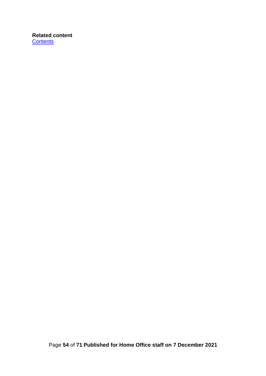#### <span id="page-53-0"></span>**Related content [Contents](#page-1-0)**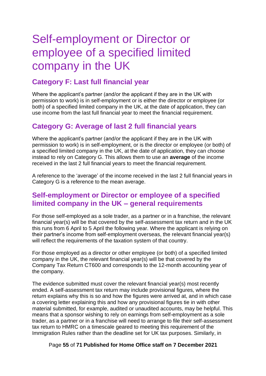# <span id="page-54-0"></span>Self-employment or Director or employee of a specified limited company in the UK

# <span id="page-54-1"></span>**Category F: Last full financial year**

Where the applicant's partner (and/or the applicant if they are in the UK with permission to work) is in self-employment or is either the director or employee (or both) of a specified limited company in the UK, at the date of application, they can use income from the last full financial year to meet the financial requirement.

### <span id="page-54-2"></span>**Category G: Average of last 2 full financial years**

Where the applicant's partner (and/or the applicant if they are in the UK with permission to work) is in self-employment, or is the director or employee (or both) of a specified limited company in the UK, at the date of application, they can choose instead to rely on Category G. This allows them to use an **average** of the income received in the last 2 full financial years to meet the financial requirement.

A reference to the 'average' of the income received in the last 2 full financial years in Category G is a reference to the mean average.

### <span id="page-54-3"></span>**Self-employment or Director or employee of a specified limited company in the UK – general requirements**

For those self-employed as a sole trader, as a partner or in a franchise, the relevant financial year(s) will be that covered by the self-assessment tax return and in the UK this runs from 6 April to 5 April the following year. Where the applicant is relying on their partner's income from self-employment overseas, the relevant financial year(s) will reflect the requirements of the taxation system of that country.

For those employed as a director or other employee (or both) of a specified limited company in the UK, the relevant financial year(s) will be that covered by the Company Tax Return CT600 and corresponds to the 12-month accounting year of the company.

The evidence submitted must cover the relevant financial year(s) most recently ended. A self-assessment tax return may include provisional figures, where the return explains why this is so and how the figures were arrived at, and in which case a covering letter explaining this and how any provisional figures tie in with other material submitted, for example, audited or unaudited accounts, may be helpful. This means that a sponsor wishing to rely on earnings from self-employment as a sole trader, as a partner or in a franchise will need to arrange to file their self-assessment tax return to HMRC on a timescale geared to meeting this requirement of the Immigration Rules rather than the deadline set for UK tax purposes. Similarly, in

Page **55** of **71 Published for Home Office staff on 7 December 2021**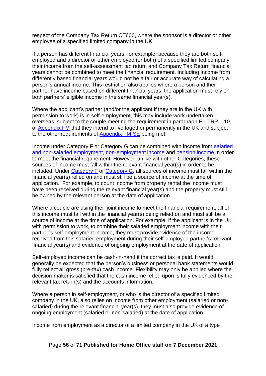respect of the Company Tax Return CT600, where the sponsor is a director or other employee of a specified limited company in the UK.

If a person has different financial years, for example, because they are both selfemployed and a director or other employee (or both) of a specified limited company, their income from the self-assessment tax return and Company Tax Return financial years cannot be combined to meet the financial requirement. Including income from differently based financial years would not be a fair or accurate way of calculating a person's annual income. This restriction also applies where a person and their partner have income based on different financial years: the application must rely on both partners' eligible income in the same financial year(s).

Where the applicant's partner (and/or the applicant if they are in the UK with permission to work) is in self-employment, this may include work undertaken overseas, subject to the couple meeting the requirement in paragraph E-LTRP.1.10 of [Appendix FM](https://www.gov.uk/guidance/immigration-rules/immigration-rules-appendix-fm-family-members) that they intend to live together permanently in the UK and subject to the other requirements of [Appendix FM-SE](https://www.gov.uk/guidance/immigration-rules/immigration-rules-appendix-fm-se-family-members-specified-evidence) being met.

Income under Category F or Category G can be combined with income from salaried and non-salaried employment, non-employment income and pension income in order to meet the financial requirement. However, unlike with other Categories, these sources of income must fall within the relevant financial year(s) in order to be included. Under [Category F](#page-54-1) or [Category G,](#page-54-2) all sources of income must fall within the financial year(s) relied on and must still be a source of income at the time of application. For example, to count income from property rental the income must have been received during the relevant financial year(s) and the property must still be owned by the relevant person at the date of application.

Where a couple are using their joint income to meet the financial requirement, all of this income must fall within the financial year(s) being relied on and must still be a source of income at the time of application. For example, if the applicant is in the UK with permission to work, to combine their salaried employment income with their partner's self-employment income, they must provide evidence of the income received from this salaried employment during their self-employed partner's relevant financial year(s) and evidence of ongoing employment at the date of application.

Self-employed income can be cash-in-hand if the correct tax is paid. It would generally be expected that the person's business or personal bank statements would fully reflect all gross (pre-tax) cash income. Flexibility may only be applied where the decision-maker is satisfied that the cash income relied upon is fully evidenced by the relevant tax return(s) and the accounts information.

Where a person in self-employment, or who is the director of a specified limited company in the UK, also relies on income from other employment (salaried or nonsalaried) during the relevant financial year(s), they must also provide evidence of ongoing employment (salaried or non-salaried) at the date of application.

Income from employment as a director of a limited company in the UK of a type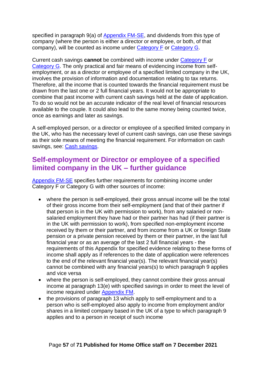specified in paragraph 9(a) of [Appendix FM-SE,](https://www.gov.uk/guidance/immigration-rules/immigration-rules-appendix-fm-se-family-members-specified-evidence) and dividends from this type of company (where the person is either a director or employee, or both, of that company), will be counted as income under [Category F](#page-54-1) or [Category G.](#page-54-2)

Current cash savings **cannot** be combined with income under [Category F](#page-54-1) or [Category G.](#page-54-2) The only practical and fair means of evidencing income from selfemployment, or as a director or employee of a specified limited company in the UK, involves the provision of information and documentation relating to tax returns. Therefore, all the income that is counted towards the financial requirement must be drawn from the last one or 2 full financial years. It would not be appropriate to combine that past income with current cash savings held at the date of application. To do so would not be an accurate indicator of the real level of financial resources available to the couple. It could also lead to the same money being counted twice, once as earnings and later as savings.

A self-employed person, or a director or employee of a specified limited company in the UK, who has the necessary level of current cash savings, can use these savings as their sole means of meeting the financial requirement. For information on cash savings, see: [Cash savings.](#page-42-0)

## <span id="page-56-0"></span>**Self-employment or Director or employee of a specified limited company in the UK – further guidance**

[Appendix FM-SE](https://www.gov.uk/guidance/immigration-rules/immigration-rules-appendix-fm-se-family-members-specified-evidence) specifies further requirements for combining income under Category F or Category G with other sources of income:

- where the person is self-employed, their gross annual income will be the total of their gross income from their self-employment (and that of their partner if that person is in the UK with permission to work), from any salaried or nonsalaried employment they have had or their partner has had (if their partner is in the UK with permission to work), from specified non-employment income received by them or their partner, and from income from a UK or foreign State pension or a private pension received by them or their partner, in the last full financial year or as an average of the last 2 full financial years - the requirements of this Appendix for specified evidence relating to these forms of income shall apply as if references to the date of application were references to the end of the relevant financial year(s). The relevant financial year(s) cannot be combined with any financial years(s) to which paragraph 9 applies and vice versa
- where the person is self-employed, they cannot combine their gross annual income at paragraph 13(e) with specified savings in order to meet the level of income required under [Appendix FM.](https://www.gov.uk/guidance/immigration-rules/immigration-rules-appendix-fm-family-members)
- the provisions of paragraph 13 which apply to self-employment and to a person who is self-employed also apply to income from employment and/or shares in a limited company based in the UK of a type to which paragraph 9 applies and to a person in receipt of such income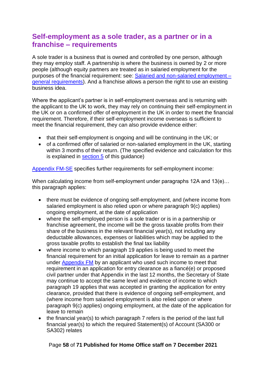## <span id="page-57-0"></span>**Self-employment as a sole trader, as a partner or in a franchise – requirements**

A sole trader is a business that is owned and controlled by one person, although they may employ staff. A partnership is where the business is owned by 2 or more people (although equity partners are treated as in salaried employment for the purposes of the financial requirement: see: [Salaried and non-salaried employment –](#page-27-0) [general requirements\)](#page-27-0). And a franchise allows a person the right to use an existing business idea.

Where the applicant's partner is in self-employment overseas and is returning with the applicant to the UK to work, they may rely on continuing their self-employment in the UK or on a confirmed offer of employment in the UK in order to meet the financial requirement. Therefore, if their self-employment income overseas is sufficient to meet the financial requirement, they can also provide evidence either:

- that their self-employment is ongoing and will be continuing in the UK; or
- of a confirmed offer of salaried or non-salaried employment in the UK, starting within 3 months of their return. (The specified evidence and calculation for this is explained in [section 5](#page-27-0) of this guidance)

[Appendix FM-SE](https://www.gov.uk/guidance/immigration-rules/immigration-rules-appendix-fm-se-family-members-specified-evidence) specifies further requirements for self-employment income:

When calculating income from self-employment under paragraphs 12A and 13(e)... this paragraph applies:

- there must be evidence of ongoing self-employment, and (where income from salaried employment is also relied upon or where paragraph 9(c) applies) ongoing employment, at the date of application
- where the self-employed person is a sole trader or is in a partnership or franchise agreement, the income will be the gross taxable profits from their share of the business in the relevant financial year(s), not including any deductable allowances, expenses or liabilities which may be applied to the gross taxable profits to establish the final tax liability
- where income to which paragraph 19 applies is being used to meet the financial requirement for an initial application for leave to remain as a partner under [Appendix FM](https://www.gov.uk/guidance/immigration-rules/immigration-rules-appendix-fm-family-members) by an applicant who used such income to meet that requirement in an application for entry clearance as a fiancé(e) or proposed civil partner under that Appendix in the last 12 months, the Secretary of State may continue to accept the same level and evidence of income to which paragraph 19 applies that was accepted in granting the application for entry clearance, provided that there is evidence of ongoing self-employment, and (where income from salaried employment is also relied upon or where paragraph 9(c) applies) ongoing employment, at the date of the application for leave to remain
- the financial year(s) to which paragraph 7 refers is the period of the last full financial year(s) to which the required Statement(s) of Account (SA300 or SA302) relates

#### Page **58** of **71 Published for Home Office staff on 7 December 2021**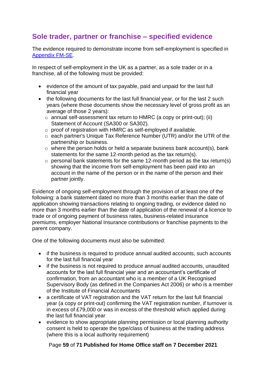## <span id="page-58-0"></span>**Sole trader, partner or franchise – specified evidence**

The evidence required to demonstrate income from self-employment is specified in [Appendix FM-SE.](http://www.ukba.homeoffice.gov.uk/policyandlaw/immigrationlaw/immigrationrules/appendix-fmse/)

In respect of self-employment in the UK as a partner, as a sole trader or in a franchise, all of the following must be provided:

- evidence of the amount of tax payable, paid and unpaid for the last full financial year
- the following documents for the last full financial year, or for the last 2 such years (where those documents show the necessary level of gross profit as an average of those 2 years):
	- $\circ$  annual self-assessment tax return to HMRC (a copy or print-out); (ii) Statement of Account (SA300 or SA302).
	- o proof of registration with HMRC as self-employed if available.
	- o each partner's Unique Tax Reference Number (UTR) and/or the UTR of the partnership or business.
	- o where the person holds or held a separate business bank account(s), bank statements for the same 12-month period as the tax return(s).
	- $\circ$  personal bank statements for the same 12-month period as the tax return(s) showing that the income from self-employment has been paid into an account in the name of the person or in the name of the person and their partner jointly.

Evidence of ongoing self-employment through the provision of at least one of the following: a bank statement dated no more than 3 months earlier than the date of application showing transactions relating to ongoing trading, or evidence dated no more than 3 months earlier than the date of application of the renewal of a licence to trade or of ongoing payment of business rates, business-related insurance premiums, employer National Insurance contributions or franchise payments to the parent company.

One of the following documents must also be submitted:

- if the business is required to produce annual audited accounts, such accounts for the last full financial year
- if the business is not required to produce annual audited accounts, unaudited accounts for the last full financial year and an accountant's certificate of confirmation, from an accountant who is a member of a UK Recognised Supervisory Body (as defined in the Companies Act 2006) or who is a member of the Institute of Financial Accountants
- a certificate of VAT registration and the VAT return for the last full financial year (a copy or print-out) confirming the VAT registration number, if turnover is in excess of £79,000 or was in excess of the threshold which applied during the last full financial year
- evidence to show appropriate planning permission or local planning authority consent is held to operate the type/class of business at the trading address (where this is a local authority requirement)

#### Page **59** of **71 Published for Home Office staff on 7 December 2021**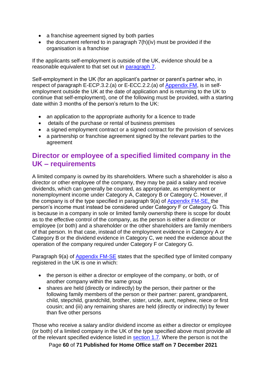- a franchise agreement signed by both parties
- the document referred to in paragraph 7(h)(iv) must be provided if the organisation is a franchise

If the applicants self-employment is outside of the UK, evidence should be a reasonable equivalent to that set out in [paragraph 7.](https://www.gov.uk/guidance/immigration-rules/immigration-rules-appendix-fm-se-family-members-specified-evidence)

Self-employment in the UK (for an applicant's partner or parent's partner who, in respect of paragraph E-ECP.3.2.(a) or E-ECC.2.2.(a) of [Appendix FM,](https://www.gov.uk/guidance/immigration-rules/immigration-rules-appendix-fm-se-family-members-specified-evidence) is in selfemployment outside the UK at the date of application and is returning to the UK to continue that self-employment), one of the following must be provided, with a starting date within 3 months of the person's return to the UK:

- an application to the appropriate authority for a licence to trade
- details of the purchase or rental of business premises
- a signed employment contract or a signed contract for the provision of services
- a partnership or franchise agreement signed by the relevant parties to the agreement

## <span id="page-59-0"></span>**Director or employee of a specified limited company in the UK – requirements**

A limited company is owned by its shareholders. Where such a shareholder is also a director or other employee of the company, they may be paid a salary and receive dividends, which can generally be counted, as appropriate, as employment or nonemployment income under Category A, Category B or Category C. However, if the company is of the type specified in paragraph 9(a) of [Appendix FM-SE,](https://www.gov.uk/guidance/immigration-rules/immigration-rules-appendix-fm-se-family-members-specified-evidence) the person's income must instead be considered under Category F or Category G. This is because in a company in sole or limited family ownership there is scope for doubt as to the effective control of the company, as the person is either a director or employee (or both) and a shareholder or the other shareholders are family members of that person. In that case, instead of the employment evidence in Category A or Category B or the dividend evidence in Category C, we need the evidence about the operation of the company required under Category F or Category G.

Paragraph 9(a) of [Appendix FM-SE](https://www.gov.uk/guidance/immigration-rules/immigration-rules-appendix-fm-se-family-members-specified-evidence) states that the specified type of limited company registered in the UK is one in which:

- the person is either a director or employee of the company, or both, or of another company within the same group
- shares are held (directly or indirectly) by the person, their partner or the following family members of the person or their partner: parent, grandparent, child, stepchild, grandchild, brother, sister, uncle, aunt, nephew, niece or first cousin; and (iii) any remaining shares are held (directly or indirectly) by fewer than five other persons

Those who receive a salary and/or dividend income as either a director or employee (or both) of a limited company in the UK of the type specified above must provide all of the relevant specified evidence listed in [section 1.7.](#page-53-0) Where the person is not the

Page **60** of **71 Published for Home Office staff on 7 December 2021**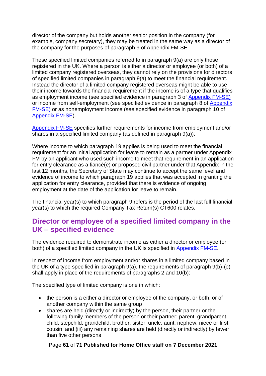director of the company but holds another senior position in the company (for example, company secretary), they may be treated in the same way as a director of the company for the purposes of paragraph 9 of Appendix FM-SE.

These specified limited companies referred to in paragraph 9(a) are only those registered in the UK. Where a person is either a director or employee (or both) of a limited company registered overseas, they cannot rely on the provisions for directors of specified limited companies in paragraph 9(a) to meet the financial requirement. Instead the director of a limited company registered overseas might be able to use their income towards the financial requirement if the income is of a type that qualifies as employment income (see specified evidence in paragraph 3 of [Appendix FM-SE\)](https://www.gov.uk/guidance/immigration-rules/immigration-rules-appendix-fm-se-family-members-specified-evidence)  or income from self-employment (see specified evidence in paragraph 8 of [Appendix](https://www.gov.uk/guidance/immigration-rules/immigration-rules-appendix-fm-se-family-members-specified-evidence)  [FM-SE\)](https://www.gov.uk/guidance/immigration-rules/immigration-rules-appendix-fm-se-family-members-specified-evidence) or as nonemployment income (see specified evidence in paragraph 10 of [Appendix FM-SE\)](https://www.gov.uk/guidance/immigration-rules/immigration-rules-appendix-fm-se-family-members-specified-evidence).

[Appendix FM-SE](https://www.gov.uk/guidance/immigration-rules/immigration-rules-appendix-fm-se-family-members-specified-evidence) specifies further requirements for income from employment and/or shares in a specified limited company (as defined in paragraph 9(a)):

Where income to which paragraph 19 applies is being used to meet the financial requirement for an initial application for leave to remain as a partner under Appendix FM by an applicant who used such income to meet that requirement in an application for entry clearance as a fiancé(e) or proposed civil partner under that Appendix in the last 12 months, the Secretary of State may continue to accept the same level and evidence of income to which paragraph 19 applies that was accepted in granting the application for entry clearance, provided that there is evidence of ongoing employment at the date of the application for leave to remain.

The financial year(s) to which paragraph 9 refers is the period of the last full financial year(s) to which the required Company Tax Return(s) CT600 relates.

### <span id="page-60-0"></span>**Director or employee of a specified limited company in the UK – specified evidence**

The evidence required to demonstrate income as either a director or employee (or both) of a specified limited company in the UK is specified in [Appendix FM-SE.](https://www.gov.uk/guidance/immigration-rules/immigration-rules-appendix-fm-se-family-members-specified-evidence)

In respect of income from employment and/or shares in a limited company based in the UK of a type specified in paragraph 9(a), the requirements of paragraph 9(b)-(e) shall apply in place of the requirements of paragraphs 2 and 10(b):

The specified type of limited company is one in which:

- the person is a either a director or employee of the company, or both, or of another company within the same group
- shares are held (directly or indirectly) by the person, their partner or the following family members of the person or their partner: parent, grandparent, child, stepchild, grandchild, brother, sister, uncle, aunt, nephew, niece or first cousin; and (iii) any remaining shares are held (directly or indirectly) by fewer than five other persons

#### Page **61** of **71 Published for Home Office staff on 7 December 2021**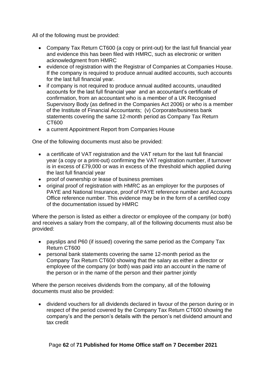All of the following must be provided:

- Company Tax Return CT600 (a copy or print-out) for the last full financial year and evidence this has been filed with HMRC, such as electronic or written acknowledgment from HMRC
- evidence of registration with the Registrar of Companies at Companies House. If the company is required to produce annual audited accounts, such accounts for the last full financial year.
- if company is not required to produce annual audited accounts, unaudited accounts for the last full financial year and an accountant's certificate of confirmation, from an accountant who is a member of a UK Recognised Supervisory Body (as defined in the Companies Act 2006) or who is a member of the Institute of Financial Accountants; (v) Corporate/business bank statements covering the same 12-month period as Company Tax Return CT600
- a current Appointment Report from Companies House

One of the following documents must also be provided:

- a certificate of VAT registration and the VAT return for the last full financial year (a copy or a print-out) confirming the VAT registration number, if turnover is in excess of £79,000 or was in excess of the threshold which applied during the last full financial year
- proof of ownership or lease of business premises
- original proof of registration with HMRC as an employer for the purposes of PAYE and National Insurance, proof of PAYE reference number and Accounts Office reference number. This evidence may be in the form of a certified copy of the documentation issued by HMRC

Where the person is listed as either a director or employee of the company (or both) and receives a salary from the company, all of the following documents must also be provided:

- payslips and P60 (if issued) covering the same period as the Company Tax Return CT600
- personal bank statements covering the same 12-month period as the Company Tax Return CT600 showing that the salary as either a director or employee of the company (or both) was paid into an account in the name of the person or in the name of the person and their partner jointly

Where the person receives dividends from the company, all of the following documents must also be provided:

• dividend vouchers for all dividends declared in favour of the person during or in respect of the period covered by the Company Tax Return CT600 showing the company's and the person's details with the person's net dividend amount and tax credit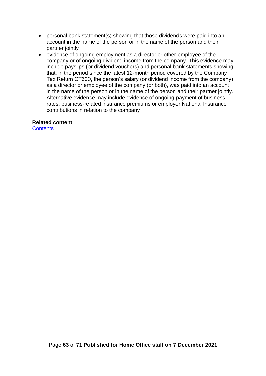- personal bank statement(s) showing that those dividends were paid into an account in the name of the person or in the name of the person and their partner jointly
- evidence of ongoing employment as a director or other employee of the company or of ongoing dividend income from the company. This evidence may include payslips (or dividend vouchers) and personal bank statements showing that, in the period since the latest 12-month period covered by the Company Tax Return CT600, the person's salary (or dividend income from the company) as a director or employee of the company (or both), was paid into an account in the name of the person or in the name of the person and their partner jointly. Alternative evidence may include evidence of ongoing payment of business rates, business-related insurance premiums or employer National Insurance contributions in relation to the company

#### **Related content**

**[Contents](#page-1-0)**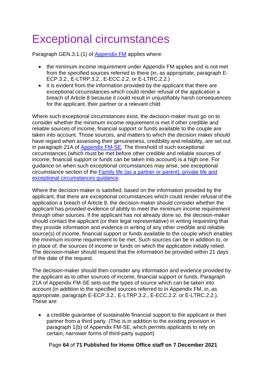# <span id="page-63-0"></span>Exceptional circumstances

Paragraph GEN.3.1.(1) of [Appendix FM](https://www.gov.uk/guidance/immigration-rules/immigration-rules-appendix-fm-family-members) applies where:

- the minimum income requirement under Appendix FM applies and is not met from the specified sources referred to there (in, as appropriate, paragraph E-ECP.3.2., E-LTRP.3.2., E-ECC.2.2. or E-LTRC.2.2.)
- it is evident from the information provided by the applicant that there are exceptional circumstances which could render refusal of the application a breach of Article 8 because it could result in unjustifiably harsh consequences for the applicant, their partner or a relevant child

Where such exceptional circumstances exist, the decision-maker must go on to consider whether the minimum income requirement is met if other credible and reliable sources of income, financial support or funds available to the couple are taken into account. Those sources, and matters to which the decision maker should have regard when assessing their genuineness, credibility and reliability, are set out in paragraph 21A of [Appendix FM-SE.](https://www.gov.uk/guidance/immigration-rules/immigration-rules-appendix-fm-se-family-members-specified-evidence) The threshold of such exceptional circumstances (which must be met before other credible and reliable sources of income, financial support or funds can be taken into account) is a high one. For guidance on when such exceptional circumstances may arise, see exceptional circumstance section of the [Family life \(as a partner or parent\), private life and](https://www.gov.uk/government/publications/family-life-as-a-partner-or-parent-private-life-and-exceptional-circumstance)  [exceptional circumstances guidance.](https://www.gov.uk/government/publications/family-life-as-a-partner-or-parent-private-life-and-exceptional-circumstance)

Where the decision-maker is satisfied, based on the information provided by the applicant, that there are exceptional circumstances which could render refusal of the application a breach of Article 8, the decision-maker should consider whether the applicant has provided evidence of ability to meet the minimum income requirement through other sources. If the applicant has not already done so, the decision-maker should contact the applicant (or their legal representative) in writing requesting that they provide information and evidence in writing of any other credible and reliable source(s) of income, financial support or funds available to the couple which enables the minimum income requirement to be met. Such sources can be in addition to, or in place of, the sources of income or funds on which the application initially relied. The decision-maker should request that the information be provided within 21 days of the date of the request.

The decision-maker should then consider any information and evidence provided by the applicant as to other sources of income, financial support or funds. Paragraph 21A of Appendix FM-SE sets out the types of source which can be taken into account (in addition to the specified sources referred to in Appendix FM, in, as appropriate, paragraph E-ECP.3.2., E-LTRP.3.2., E-ECC.2.2. or E-LTRC.2.2.). These are:

• a credible guarantee of sustainable financial support to the applicant or their partner from a third party. (This is in addition to the existing provision in paragraph 1(b) of Appendix FM-SE, which permits applicants to rely on certain, narrower forms of third-party support)

#### Page **64** of **71 Published for Home Office staff on 7 December 2021**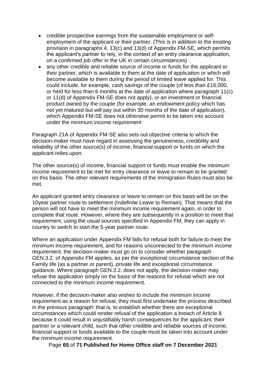- credible prospective earnings from the sustainable employment or selfemployment of the applicant or their partner. (This is in addition to the existing provision in paragraphs 4, 13(c) and 13(d) of Appendix FM-SE, which permits the applicant's partner to rely, in the context of an entry clearance application, on a confirmed job offer in the UK in certain circumstances)
- any other credible and reliable source of income or funds for the applicant or their partner, which is available to them at the date of application or which will become available to them during the period of limited leave applied for. This could include, for example, cash savings of the couple (of less than £16,000, or held for less than 6 months at the date of application where paragraph 11(c) or 11(d) of Appendix FM-SE does not apply), or an investment or financial product owned by the couple (for example, an endowment policy which has not yet matured but will pay out within 30 months of the date of application), which Appendix FM-SE does not otherwise permit to be taken into account under the minimum income requirement

Paragraph 21A of Appendix FM-SE also sets out objective criteria to which the decision-maker must have regard in assessing the genuineness, credibility and reliability of the other source(s) of income, financial support or funds on which the applicant relies upon.

The other source(s) of income, financial support or funds must enable the minimum income requirement to be met for entry clearance or leave to remain to be granted on this basis. The other relevant requirements of the Immigration Rules must also be met.

An applicant granted entry clearance or leave to remain on this basis will be on the 10year partner route to settlement (Indefinite Leave to Remain). That means that the person will not have to meet the minimum income requirement again, in order to complete that route. However, where they are subsequently in a position to meet that requirement, using the usual sources specified in Appendix FM, they can apply in country to switch to start the 5-year partner route.

Where an application under Appendix FM falls for refusal both for failure to meet the minimum income requirement, and for reasons unconnected to the minimum income requirement, the decision-maker must go on to consider whether paragraph GEN.3.2. of Appendix FM applies, as per the exceptional circumstance section of the Family life (as a partner or parent), private life and exceptional circumstance guidance. Where paragraph GEN.3.2. does not apply, the decision-maker may refuse the application simply on the basis of the reasons for refusal which are not connected to the minimum income requirement.

However, if the decision-maker also wishes to include the minimum income requirement as a reason for refusal, they must first undertake the process described in the previous paragraph: that is, to establish whether there are exceptional circumstances which could render refusal of the application a breach of Article 8 because it could result in unjustifiably harsh consequences for the applicant, their partner or a relevant child, such that other credible and reliable sources of income, financial support or funds available to the couple must be taken into account under the minimum income requirement.

Page **65** of **71 Published for Home Office staff on 7 December 2021**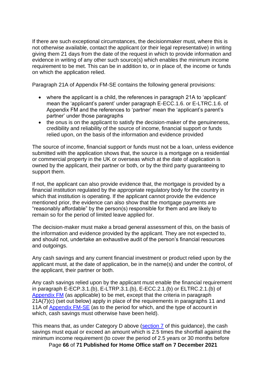If there are such exceptional circumstances, the decisionmaker must, where this is not otherwise available, contact the applicant (or their legal representative) in writing giving them 21 days from the date of the request in which to provide information and evidence in writing of any other such source(s) which enables the minimum income requirement to be met. This can be in addition to, or in place of, the income or funds on which the application relied.

Paragraph 21A of Appendix FM-SE contains the following general provisions:

- where the applicant is a child, the references in paragraph 21A to 'applicant' mean the 'applicant's parent' under paragraph E-ECC.1.6. or E-LTRC.1.6. of Appendix FM and the references to 'partner' mean the 'applicant's parent's partner' under those paragraphs
- the onus is on the applicant to satisfy the decision-maker of the genuineness, credibility and reliability of the source of income, financial support or funds relied upon, on the basis of the information and evidence provided

The source of income, financial support or funds must not be a loan, unless evidence submitted with the application shows that, the source is a mortgage on a residential or commercial property in the UK or overseas which at the date of application is owned by the applicant, their partner or both, or by the third party guaranteeing to support them.

If not, the applicant can also provide evidence that, the mortgage is provided by a financial institution regulated by the appropriate regulatory body for the country in which that institution is operating. If the applicant cannot provide the evidence mentioned prior, the evidence can also show that the mortgage payments are "reasonably affordable" by the person(s) responsible for them and are likely to remain so for the period of limited leave applied for.

The decision-maker must make a broad general assessment of this, on the basis of the information and evidence provided by the applicant. They are not expected to, and should not, undertake an exhaustive audit of the person's financial resources and outgoings.

Any cash savings and any current financial investment or product relied upon by the applicant must, at the date of application, be in the name(s) and under the control, of the applicant, their partner or both.

Any cash savings relied upon by the applicant must enable the financial requirement in paragraph E-ECP.3.1.(b), E-LTRP.3.1.(b), E-ECC.2.1.(b) or ELTRC.2.1.(b) of [Appendix FM](https://www.gov.uk/guidance/immigration-rules/immigration-rules-appendix-fm-family-members) (as applicable) to be met, except that the criteria in paragraph 21A(7)(c) (set out below) apply in place of the requirements in paragraphs 11 and 11A of [Appendix FM-SE](https://www.gov.uk/guidance/immigration-rules/immigration-rules-appendix-fm-se-family-members-specified-evidence) (as to the period for which, and the type of account in which, cash savings must otherwise have been held).

This means that, as under Category D above [\(section 7](#page-43-1) of this guidance), the cash savings must equal or exceed an amount which is 2.5 times the shortfall against the minimum income requirement (to cover the period of 2.5 years or 30 months before

Page **66** of **71 Published for Home Office staff on 7 December 2021**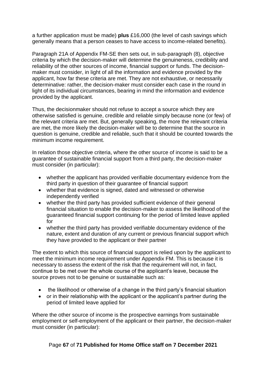a further application must be made) **plus** £16,000 (the level of cash savings which generally means that a person ceases to have access to income-related benefits).

Paragraph 21A of Appendix FM-SE then sets out, in sub-paragraph (8), objective criteria by which the decision-maker will determine the genuineness, credibility and reliability of the other sources of income, financial support or funds. The decisionmaker must consider, in light of all the information and evidence provided by the applicant, how far these criteria are met. They are not exhaustive, or necessarily determinative: rather, the decision-maker must consider each case in the round in light of its individual circumstances, bearing in mind the information and evidence provided by the applicant.

Thus, the decisionmaker should not refuse to accept a source which they are otherwise satisfied is genuine, credible and reliable simply because none (or few) of the relevant criteria are met. But, generally speaking, the more the relevant criteria are met, the more likely the decision-maker will be to determine that the source in question is genuine, credible and reliable, such that it should be counted towards the minimum income requirement.

In relation those objective criteria, where the other source of income is said to be a guarantee of sustainable financial support from a third party, the decision-maker must consider (in particular):

- whether the applicant has provided verifiable documentary evidence from the third party in question of their guarantee of financial support
- whether that evidence is signed, dated and witnessed or otherwise independently verified
- whether the third party has provided sufficient evidence of their general financial situation to enable the decision-maker to assess the likelihood of the guaranteed financial support continuing for the period of limited leave applied for
- whether the third party has provided verifiable documentary evidence of the nature, extent and duration of any current or previous financial support which they have provided to the applicant or their partner

The extent to which this source of financial support is relied upon by the applicant to meet the minimum income requirement under Appendix FM. This is because it is necessary to assess the extent of the risk that the requirement will not, in fact, continue to be met over the whole course of the applicant's leave, because the source proves not to be genuine or sustainable such as:

- the likelihood or otherwise of a change in the third party's financial situation
- or in their relationship with the applicant or the applicant's partner during the period of limited leave applied for

Where the other source of income is the prospective earnings from sustainable employment or self-employment of the applicant or their partner, the decision-maker must consider (in particular):

Page **67** of **71 Published for Home Office staff on 7 December 2021**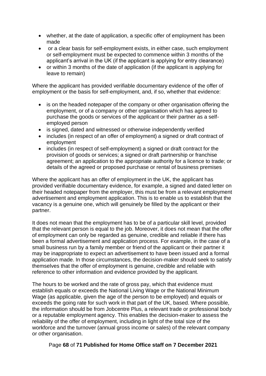- whether, at the date of application, a specific offer of employment has been made
- or a clear basis for self-employment exists, in either case, such employment or self-employment must be expected to commence within 3 months of the applicant's arrival in the UK (if the applicant is applying for entry clearance)
- or within 3 months of the date of application (if the applicant is applying for leave to remain)

Where the applicant has provided verifiable documentary evidence of the offer of employment or the basis for self-employment, and, if so, whether that evidence:

- is on the headed notepaper of the company or other organisation offering the employment, or of a company or other organisation which has agreed to purchase the goods or services of the applicant or their partner as a selfemployed person
- is signed, dated and witnessed or otherwise independently verified
- includes (in respect of an offer of employment) a signed or draft contract of employment
- includes (in respect of self-employment) a signed or draft contract for the provision of goods or services; a signed or draft partnership or franchise agreement; an application to the appropriate authority for a licence to trade; or details of the agreed or proposed purchase or rental of business premises

Where the applicant has an offer of employment in the UK, the applicant has provided verifiable documentary evidence, for example, a signed and dated letter on their headed notepaper from the employer, this must be from a relevant employment advertisement and employment application. This is to enable us to establish that the vacancy is a genuine one, which will genuinely be filled by the applicant or their partner.

It does not mean that the employment has to be of a particular skill level, provided that the relevant person is equal to the job. Moreover, it does not mean that the offer of employment can only be regarded as genuine, credible and reliable if there has been a formal advertisement and application process. For example, in the case of a small business run by a family member or friend of the applicant or their partner it may be inappropriate to expect an advertisement to have been issued and a formal application made. In those circumstances, the decision-maker should seek to satisfy themselves that the offer of employment is genuine, credible and reliable with reference to other information and evidence provided by the applicant.

The hours to be worked and the rate of gross pay, which that evidence must establish equals or exceeds the National Living Wage or the National Minimum Wage (as applicable, given the age of the person to be employed) and equals or exceeds the going rate for such work in that part of the UK, based. Where possible, the information should be from Jobcentre Plus, a relevant trade or professional body or a reputable employment agency. This enables the decision-maker to assess the reliability of the offer of employment, including in light of the total size of the workforce and the turnover (annual gross income or sales) of the relevant company or other organisation.

#### Page **68** of **71 Published for Home Office staff on 7 December 2021**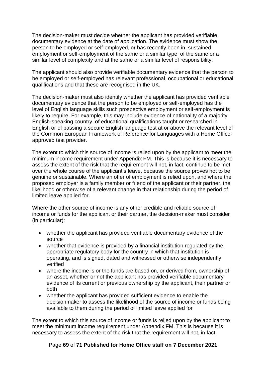The decision-maker must decide whether the applicant has provided verifiable documentary evidence at the date of application. The evidence must show the person to be employed or self-employed, or has recently been in, sustained employment or self-employment of the same or a similar type, of the same or a similar level of complexity and at the same or a similar level of responsibility.

The applicant should also provide verifiable documentary evidence that the person to be employed or self-employed has relevant professional, occupational or educational qualifications and that these are recognised in the UK.

The decision-maker must also identify whether the applicant has provided verifiable documentary evidence that the person to be employed or self-employed has the level of English language skills such prospective employment or self-employment is likely to require. For example, this may include evidence of nationality of a majority English-speaking country, of educational qualifications taught or researched in English or of passing a secure English language test at or above the relevant level of the Common European Framework of Reference for Languages with a Home Officeapproved test provider.

The extent to which this source of income is relied upon by the applicant to meet the minimum income requirement under Appendix FM. This is because it is necessary to assess the extent of the risk that the requirement will not, in fact, continue to be met over the whole course of the applicant's leave, because the source proves not to be genuine or sustainable. Where an offer of employment is relied upon, and where the proposed employer is a family member or friend of the applicant or their partner, the likelihood or otherwise of a relevant change in that relationship during the period of limited leave applied for.

Where the other source of income is any other credible and reliable source of income or funds for the applicant or their partner, the decision-maker must consider (in particular):

- whether the applicant has provided verifiable documentary evidence of the source
- whether that evidence is provided by a financial institution regulated by the appropriate regulatory body for the country in which that institution is operating, and is signed, dated and witnessed or otherwise independently verified
- where the income is or the funds are based on, or derived from, ownership of an asset, whether or not the applicant has provided verifiable documentary evidence of its current or previous ownership by the applicant, their partner or both
- whether the applicant has provided sufficient evidence to enable the decisionmaker to assess the likelihood of the source of income or funds being available to them during the period of limited leave applied for

The extent to which this source of income or funds is relied upon by the applicant to meet the minimum income requirement under Appendix FM. This is because it is necessary to assess the extent of the risk that the requirement will not, in fact,

#### Page **69** of **71 Published for Home Office staff on 7 December 2021**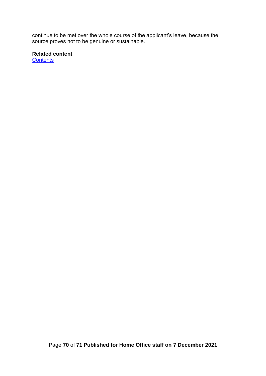continue to be met over the whole course of the applicant's leave, because the source proves not to be genuine or sustainable.

**Related content**

**[Contents](#page-1-0)**